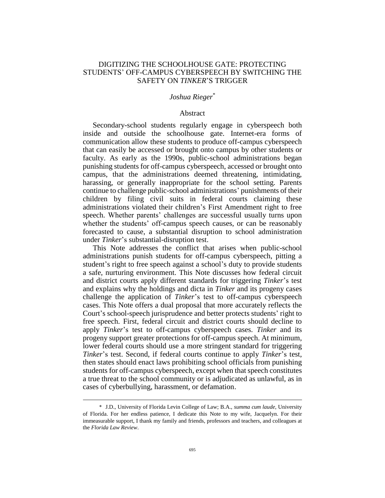# DIGITIZING THE SCHOOLHOUSE GATE: PROTECTING STUDENTS' OFF-CAMPUS CYBERSPEECH BY SWITCHING THE SAFETY ON *TINKER*'S TRIGGER

# *Joshua Rieger*\*

### Abstract

Secondary-school students regularly engage in cyberspeech both inside and outside the schoolhouse gate. Internet-era forms of communication allow these students to produce off-campus cyberspeech that can easily be accessed or brought onto campus by other students or faculty. As early as the 1990s, public-school administrations began punishing students for off-campus cyberspeech, accessed or brought onto campus, that the administrations deemed threatening, intimidating, harassing, or generally inappropriate for the school setting. Parents continue to challenge public-school administrations' punishments of their children by filing civil suits in federal courts claiming these administrations violated their children's First Amendment right to free speech. Whether parents' challenges are successful usually turns upon whether the students' off-campus speech causes, or can be reasonably forecasted to cause, a substantial disruption to school administration under *Tinker*'s substantial-disruption test.

This Note addresses the conflict that arises when public-school administrations punish students for off-campus cyberspeech, pitting a student's right to free speech against a school's duty to provide students a safe, nurturing environment. This Note discusses how federal circuit and district courts apply different standards for triggering *Tinker*'s test and explains why the holdings and dicta in *Tinker* and its progeny cases challenge the application of *Tinker*'s test to off-campus cyberspeech cases. This Note offers a dual proposal that more accurately reflects the Court's school-speech jurisprudence and better protects students' right to free speech. First, federal circuit and district courts should decline to apply *Tinker*'s test to off-campus cyberspeech cases. *Tinker* and its progeny support greater protections for off-campus speech. At minimum, lower federal courts should use a more stringent standard for triggering *Tinker*'s test. Second, if federal courts continue to apply *Tinker*'s test, then states should enact laws prohibiting school officials from punishing students for off-campus cyberspeech, except when that speech constitutes a true threat to the school community or is adjudicated as unlawful, as in cases of cyberbullying, harassment, or defamation.

<sup>\*</sup> J.D., University of Florida Levin College of Law; B.A., *summa cum laude*, University of Florida. For her endless patience, I dedicate this Note to my wife, Jacquelyn. For their immeasurable support, I thank my family and friends, professors and teachers, and colleagues at the *Florida Law Review*.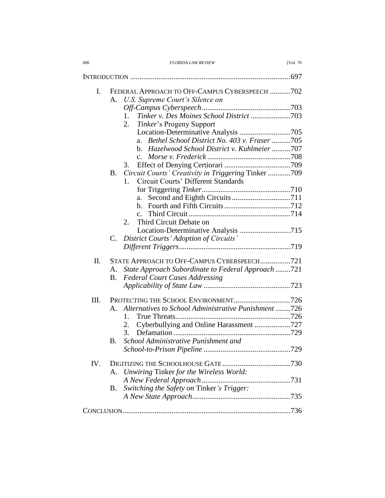| 696 | <b>FLORIDA LAW REVIEW</b> | <b>IVol. 70</b> |
|-----|---------------------------|-----------------|

| I.   |                | FEDERAL APPROACH TO OFF-CAMPUS CYBERSPEECH 702<br>U.S. Supreme Court's Silence on |  |
|------|----------------|-----------------------------------------------------------------------------------|--|
|      | A.             |                                                                                   |  |
|      | 1.             |                                                                                   |  |
|      | 2.             | <i>Tinker's</i> Progeny Support                                                   |  |
|      |                |                                                                                   |  |
|      | a.             | Bethel School District No. 403 v. Fraser 705                                      |  |
|      |                | b. Hazelwood School District v. Kuhlmeier 707                                     |  |
|      | $c_{\cdot}$    |                                                                                   |  |
|      | 3.             |                                                                                   |  |
|      | <b>B.</b>      | Circuit Courts' Creativity in Triggering Tinker 709                               |  |
|      | $1_{-}$        | Circuit Courts' Different Standards                                               |  |
|      |                |                                                                                   |  |
|      |                |                                                                                   |  |
|      | a.<br>$h_{-}$  |                                                                                   |  |
|      |                |                                                                                   |  |
|      | $\mathbf{c}$ . | Third Circuit Debate on                                                           |  |
|      | 2.             |                                                                                   |  |
|      |                | Location-Determinative Analysis 715                                               |  |
|      | C.             | District Courts' Adoption of Circuits'                                            |  |
|      |                |                                                                                   |  |
| II.  |                | STATE APPROACH TO OFF-CAMPUS CYBERSPEECH721                                       |  |
|      | А.             | State Approach Subordinate to Federal Approach 721                                |  |
|      | Β.             | <b>Federal Court Cases Addressing</b>                                             |  |
|      |                |                                                                                   |  |
|      |                |                                                                                   |  |
| III. |                | Alternatives to School Administrative Punishment726                               |  |
|      | $A_{-}$        |                                                                                   |  |
|      | 1.<br>2.       |                                                                                   |  |
|      | 3.             | Cyberbullying and Online Harassment 727                                           |  |
|      |                |                                                                                   |  |
|      | B.             | School Administrative Punishment and                                              |  |
|      |                |                                                                                   |  |
| IV.  |                |                                                                                   |  |
|      | А.             | Unwiring Tinker for the Wireless World:                                           |  |
|      |                |                                                                                   |  |
|      | <b>B.</b>      | Switching the Safety on Tinker's Trigger:                                         |  |
|      |                |                                                                                   |  |
|      |                |                                                                                   |  |
|      |                |                                                                                   |  |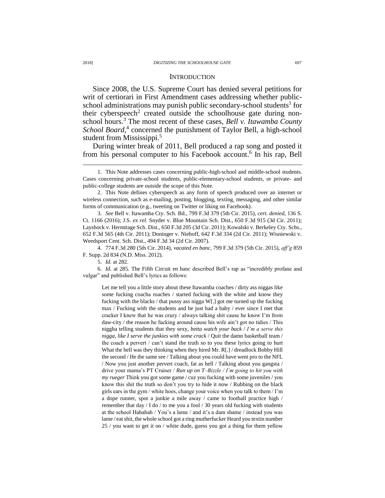### **INTRODUCTION**

Since 2008, the U.S. Supreme Court has denied several petitions for writ of certiorari in First Amendment cases addressing whether publicschool administrations may punish public secondary-school students<sup>1</sup> for their cyberspeech<sup>2</sup> created outside the schoolhouse gate during nonschool hours. <sup>3</sup> The most recent of these cases, *Bell v. Itawamba County*  School Board,<sup>4</sup> concerned the punishment of Taylor Bell, a high-school student from Mississippi.<sup>5</sup>

<span id="page-2-0"></span>During winter break of 2011, Bell produced a rap song and posted it from his personal computer to his Facebook account.<sup>6</sup> In his rap, Bell

3. *See* Bell v. Itawamba Cty. Sch. Bd., 799 F.3d 379 (5th Cir. 2015), *cert. denied*, 136 S. Ct. 1166 (2016); J.S. *ex rel.* Snyder v. Blue Mountain Sch. Dist., 650 F.3d 915 (3d Cir. 2011); Layshock v. Hermitage Sch. Dist., 650 F.3d 205 (3d Cir. 2011); Kowalski v. Berkeley Cty. Schs., 652 F.3d 565 (4th Cir. 2011); Doninger v. Niehoff, 642 F.3d 334 (2d Cir. 2011); Wisniewski v. Weedsport Cent. Sch. Dist., 494 F.3d 34 (2d Cir. 2007).

4. 774 F.3d 280 (5th Cir. 2014), *vacated en banc*, 799 F.3d 379 (5th Cir. 2015), *aff'g* 859 F. Supp. 2d 834 (N.D. Miss. 2012).

5. *Id.* at 282.

6. *Id.* at 285. The Fifth Circuit en banc described Bell's rap as "incredibly profane and vulgar" and published Bell's lyrics as follows:

Let me tell you a little story about these Itawamba coaches / dirty ass niggas like some fucking coacha roaches / started fucking with the white and know they fucking with the blacks / that pussy ass nigga W[.] got me turned up the fucking max / Fucking with the students and he just had a baby / ever since I met that cracker I knew that he was crazy / always talking shit cause he know I'm from daw-city / the reason he fucking around cause his wife ain't got no tidies / This niggha telling students that they sexy, *betta watch your back* / *I'm a serve this nigga, like I serve the junkies with some crack* / Quit the damn basketball team / the coach a pervert / can't stand the truth so to you these lyrics going to hurt What the hell was they thinking when they hired Mr. R[.] / dreadlock Bobby Hill the second / He the same see / Talking about you could have went pro to the NFL / Now you just another pervert coach, fat as hell / Talking about you gangsta / drive your mama's PT Cruiser / *Run up on T–Bizzle / I'm going to hit you with my rueger* Think you got some game / cuz you fucking with some juveniles / you know this shit the truth so don't you try to hide it now / Rubbing on the black girls ears in the gym / white hoes, change your voice when you talk to them / I'm a dope runner, spot a junkie a mile away / came to football practice high / remember that day / I do / to me you a fool / 30 years old fucking with students at the school Hahahah / You's a lame / and it's a dam shame / instead you was lame / eat shit, the whole school got a ring mutherfucker Heard you textin number 25 / you want to get it on / white dude, guess you got a thing for them yellow

<sup>1.</sup> This Note addresses cases concerning public-high-school and middle-school students. Cases concerning private-school students, public-elementary-school students, or private- and public-college students are outside the scope of this Note.

<sup>2.</sup> This Note defines cyberspeech as any form of speech produced over an internet or wireless connection, such as e-mailing, posting, blogging, texting, messaging, and other similar forms of communication (e.g., tweeting on Twitter or liking on Facebook).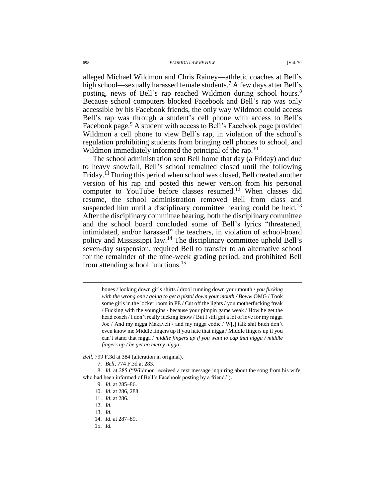alleged Michael Wildmon and Chris Rainey—athletic coaches at Bell's high school—sexually harassed female students.<sup>7</sup> A few days after Bell's posting, news of Bell's rap reached Wildmon during school hours.<sup>8</sup> Because school computers blocked Facebook and Bell's rap was only accessible by his Facebook friends, the only way Wildmon could access Bell's rap was through a student's cell phone with access to Bell's Facebook page.<sup>9</sup> A student with access to Bell's Facebook page provided Wildmon a cell phone to view Bell's rap, in violation of the school's regulation prohibiting students from bringing cell phones to school, and Wildmon immediately informed the principal of the rap.<sup>10</sup>

The school administration sent Bell home that day (a Friday) and due to heavy snowfall, Bell's school remained closed until the following Friday.<sup>11</sup> During this period when school was closed, Bell created another version of his rap and posted this newer version from his personal computer to YouTube before classes resumed.<sup>12</sup> When classes did resume, the school administration removed Bell from class and suspended him until a disciplinary committee hearing could be held.<sup>13</sup> After the disciplinary committee hearing, both the disciplinary committee and the school board concluded some of Bell's lyrics "threatened, intimidated, and/or harassed" the teachers, in violation of school-board policy and Mississippi law.<sup>14</sup> The disciplinary committee upheld Bell's seven-day suspension, required Bell to transfer to an alternative school for the remainder of the nine-week grading period, and prohibited Bell from attending school functions.<sup>15</sup>

bones / looking down girls shirts / drool running down your mouth / *you fucking with the wrong one / going to get a pistol down your mouth / Boww* OMG / Took some girls in the locker room in PE / Cut off the lights / you motherfucking freak / Fucking with the youngins / because your pimpin game weak / How he get the head coach / I don't really fucking know / But I still got a lot of love for my nigga Joe / And my nigga Makaveli / and my nigga codie / W[.] talk shit bitch don't even know me Middle fingers up if you hate that nigga / Middle fingers up if you can't stand that nigga / *middle fingers up if you want to cap that nigga / middle fingers up / he get no mercy nigga*.

*Bell*, 799 F.3d at 384 (alteration in original).

7. *Bell*, 774 F.3d at 283.

8. *Id.* at 285 ("Wildmon received a text message inquiring about the song from his wife, who had been informed of Bell's Facebook posting by a friend.").

- 9. *Id.* at 285–86.
- 10. *Id.* at 286, 288.
- 11. *Id.* at 286.
- 12. *Id.*

- 13. *Id.*
- 14. *Id.* at 287–89.
- 15. *Id.*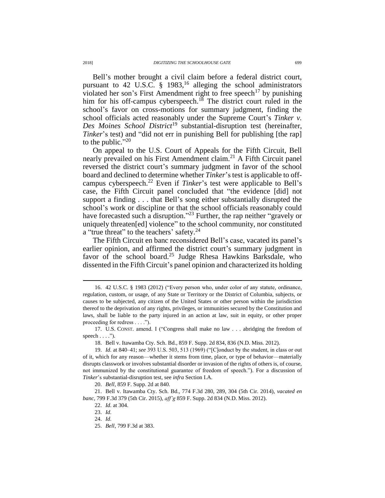Bell's mother brought a civil claim before a federal district court, pursuant to 42 U.S.C.  $\S$  1983,<sup>16</sup> alleging the school administrators violated her son's First Amendment right to free speech<sup>17</sup> by punishing him for his off-campus cyberspeech.<sup>18</sup> The district court ruled in the school's favor on cross-motions for summary judgment, finding the school officials acted reasonably under the Supreme Court's *Tinker v. Des Moines School District*<sup>19</sup> substantial-disruption test (hereinafter, *Tinker*'s test) and "did not err in punishing Bell for publishing [the rap] to the public." $20$ 

On appeal to the U.S. Court of Appeals for the Fifth Circuit, Bell nearly prevailed on his First Amendment claim.<sup>21</sup> A Fifth Circuit panel reversed the district court's summary judgment in favor of the school board and declined to determine whether *Tinker*'s test is applicable to offcampus cyberspeech. <sup>22</sup> Even if *Tinker*'s test were applicable to Bell's case, the Fifth Circuit panel concluded that "the evidence [did] not support a finding . . . that Bell's song either substantially disrupted the school's work or discipline or that the school officials reasonably could have forecasted such a disruption."<sup>23</sup> Further, the rap neither "gravely or uniquely threaten[ed] violence" to the school community, nor constituted a "true threat" to the teachers' safety.<sup>24</sup>

<span id="page-4-0"></span>The Fifth Circuit en banc reconsidered Bell's case, vacated its panel's earlier opinion, and affirmed the district court's summary judgment in favor of the school board.<sup>25</sup> Judge Rhesa Hawkins Barksdale, who dissented in the Fifth Circuit's panel opinion and characterized its holding

20. *Bell*, 859 F. Supp. 2d at 840.

21. Bell v. Itawamba Cty. Sch. Bd., 774 F.3d 280, 289, 304 (5th Cir. 2014), *vacated en banc*, 799 F.3d 379 (5th Cir. 2015), *aff'g* 859 F. Supp. 2d 834 (N.D. Miss. 2012).

22. *Id.* at 304.

23. *Id.*

 $\overline{a}$ 

24. *Id.*

<sup>16.</sup> 42 U.S.C. § 1983 (2012) ("Every person who, under color of any statute, ordinance, regulation, custom, or usage, of any State or Territory or the District of Columbia, subjects, or causes to be subjected, any citizen of the United States or other person within the jurisdiction thereof to the deprivation of any rights, privileges, or immunities secured by the Constitution and laws, shall be liable to the party injured in an action at law, suit in equity, or other proper proceeding for redress . . . .").

<sup>17.</sup> U.S. CONST. amend. I ("Congress shall make no law . . . abridging the freedom of speech  $\dots$ .").

<sup>18.</sup> Bell v. Itawamba Cty. Sch. Bd., 859 F. Supp. 2d 834, 836 (N.D. Miss. 2012).

<sup>19.</sup> *Id.* at 840–41; *see* 393 U.S. 503, 513 (1969) ("[C]onduct by the student, in class or out of it, which for any reason—whether it stems from time, place, or type of behavior—materially disrupts classwork or involves substantial disorder or invasion of the rights of others is, of course, not immunized by the constitutional guarantee of freedom of speech."). For a discussion of *Tinker*'s substantial-disruption test, see *infra* Section I.A.

<sup>25.</sup> *Bell*, 799 F.3d at 383.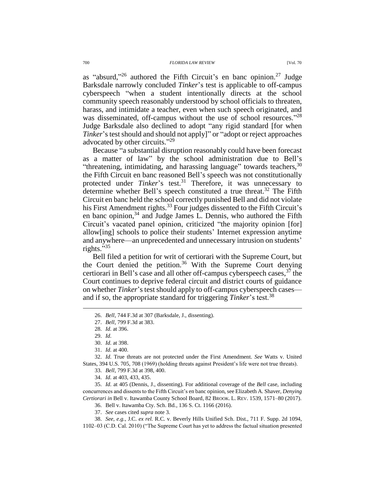as "absurd,"<sup>26</sup> authored the Fifth Circuit's en banc opinion.<sup>27</sup> Judge Barksdale narrowly concluded *Tinker*'s test is applicable to off-campus cyberspeech "when a student intentionally directs at the school community speech reasonably understood by school officials to threaten, harass, and intimidate a teacher, even when such speech originated, and was disseminated, off-campus without the use of school resources."28 Judge Barksdale also declined to adopt "any rigid standard [for when *Tinker*'s test should and should not apply]" or "adopt or reject approaches advocated by other circuits."<sup>29</sup>

Because "a substantial disruption reasonably could have been forecast as a matter of law" by the school administration due to Bell's "threatening, intimidating, and harassing language" towards teachers,  $30$ the Fifth Circuit en banc reasoned Bell's speech was not constitutionally protected under *Tinker*'s test.<sup>31</sup> Therefore, it was unnecessary to determine whether Bell's speech constituted a true threat.<sup>32</sup> The Fifth Circuit en banc held the school correctly punished Bell and did not violate his First Amendment rights.<sup>33</sup> Four judges dissented to the Fifth Circuit's en banc opinion,<sup>34</sup> and Judge James L. Dennis, who authored the Fifth Circuit's vacated panel opinion, criticized "the majority opinion [for] allow[ing] schools to police their students' Internet expression anytime and anywhere—an unprecedented and unnecessary intrusion on students' rights." 35

<span id="page-5-0"></span>Bell filed a petition for writ of certiorari with the Supreme Court, but the Court denied the petition.<sup>36</sup> With the Supreme Court denying certiorari in Bell's case and all other off-campus cyberspeech cases,  $3^7$  the Court continues to deprive federal circuit and district courts of guidance on whether *Tinker*'s test should apply to off-campus cyberspeech cases and if so, the appropriate standard for triggering *Tinker*'s test.<sup>38</sup>

 $\overline{a}$ 

32. *Id.* True threats are not protected under the First Amendment. *See* Watts v. United States, 394 U.S. 705, 708 (1969) (holding threats against President's life were not true threats).

33. *Bell*, 799 F.3d at 398, 400.

34. *Id.* at 403, 433, 435.

35. *Id.* at 405 (Dennis, J., dissenting). For additional coverage of the *Bell* case, including concurrences and dissents to the Fifth Circuit's en banc opinion, see Elizabeth A. Shaver, *Denying Certiorari in* Bell v. Itawamba County School Board, 82 BROOK. L. REV. 1539, 1571–80 (2017).

36. Bell v. Itawamba Cty. Sch. Bd., 136 S. Ct. 1166 (2016).

37. *See* cases cited *supra* note [3.](#page-2-0)

38. *See, e.g.*, J.C. *ex rel.* R.C. v. Beverly Hills Unified Sch. Dist., 711 F. Supp. 2d 1094, 1102–03 (C.D. Cal. 2010) ("The Supreme Court has yet to address the factual situation presented

<sup>26.</sup> *Bell*, 744 F.3d at 307 (Barksdale, J., dissenting).

<sup>27.</sup> *Bell*, 799 F.3d at 383.

<sup>28.</sup> *Id.* at 396.

<sup>29.</sup> *Id.*

<sup>30.</sup> *Id.* at 398.

<sup>31.</sup> *Id.* at 400.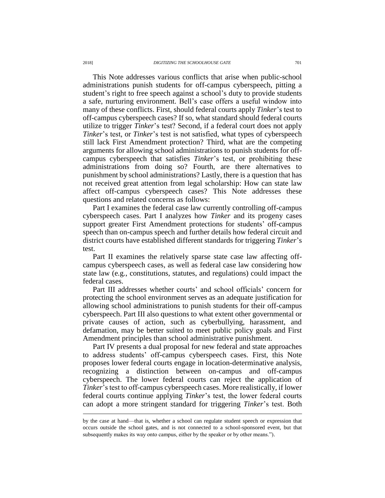This Note addresses various conflicts that arise when public-school administrations punish students for off-campus cyberspeech, pitting a student's right to free speech against a school's duty to provide students a safe, nurturing environment. Bell's case offers a useful window into many of these conflicts. First, should federal courts apply *Tinker*'s test to off-campus cyberspeech cases? If so, what standard should federal courts utilize to trigger *Tinker*'s test? Second, if a federal court does not apply *Tinker*'s test, or *Tinker*'s test is not satisfied, what types of cyberspeech still lack First Amendment protection? Third, what are the competing arguments for allowing school administrations to punish students for offcampus cyberspeech that satisfies *Tinker*'s test, or prohibiting these administrations from doing so? Fourth, are there alternatives to punishment by school administrations? Lastly, there is a question that has not received great attention from legal scholarship: How can state law affect off-campus cyberspeech cases? This Note addresses these questions and related concerns as follows:

Part I examines the federal case law currently controlling off-campus cyberspeech cases. Part I analyzes how *Tinker* and its progeny cases support greater First Amendment protections for students' off-campus speech than on-campus speech and further details how federal circuit and district courts have established different standards for triggering *Tinker*'s test.

Part II examines the relatively sparse state case law affecting offcampus cyberspeech cases, as well as federal case law considering how state law (e.g., constitutions, statutes, and regulations) could impact the federal cases.

Part III addresses whether courts' and school officials' concern for protecting the school environment serves as an adequate justification for allowing school administrations to punish students for their off-campus cyberspeech. Part III also questions to what extent other governmental or private causes of action, such as cyberbullying, harassment, and defamation, may be better suited to meet public policy goals and First Amendment principles than school administrative punishment.

Part IV presents a dual proposal for new federal and state approaches to address students' off-campus cyberspeech cases. First, this Note proposes lower federal courts engage in location-determinative analysis, recognizing a distinction between on-campus and off-campus cyberspeech. The lower federal courts can reject the application of *Tinker*'s test to off-campus cyberspeech cases. More realistically, if lower federal courts continue applying *Tinker*'s test, the lower federal courts can adopt a more stringent standard for triggering *Tinker*'s test. Both

by the case at hand—that is, whether a school can regulate student speech or expression that occurs outside the school gates, and is not connected to a school-sponsored event, but that subsequently makes its way onto campus, either by the speaker or by other means.").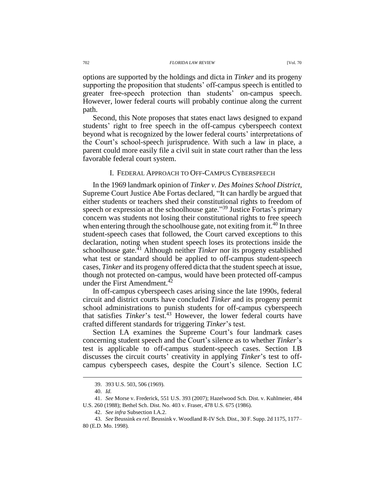options are supported by the holdings and dicta in *Tinker* and its progeny supporting the proposition that students' off-campus speech is entitled to greater free-speech protection than students' on-campus speech. However, lower federal courts will probably continue along the current path.

Second, this Note proposes that states enact laws designed to expand students' right to free speech in the off-campus cyberspeech context beyond what is recognized by the lower federal courts' interpretations of the Court's school-speech jurisprudence. With such a law in place, a parent could more easily file a civil suit in state court rather than the less favorable federal court system.

## I. FEDERAL APPROACH TO OFF-CAMPUS CYBERSPEECH

In the 1969 landmark opinion of *Tinker v. Des Moines School District*, Supreme Court Justice Abe Fortas declared, "It can hardly be argued that either students or teachers shed their constitutional rights to freedom of speech or expression at the schoolhouse gate."<sup>39</sup> Justice Fortas's primary concern was students not losing their constitutional rights to free speech when entering through the schoolhouse gate, not exiting from it.<sup>40</sup> In three student-speech cases that followed, the Court carved exceptions to this declaration, noting when student speech loses its protections inside the schoolhouse gate.<sup>41</sup> Although neither *Tinker* nor its progeny established what test or standard should be applied to off-campus student-speech cases, *Tinker* and its progeny offered dicta that the student speech at issue, though not protected on-campus, would have been protected off-campus under the First Amendment.<sup>42</sup>

In off-campus cyberspeech cases arising since the late 1990s, federal circuit and district courts have concluded *Tinker* and its progeny permit school administrations to punish students for off-campus cyberspeech that satisfies *Tinker*'s test. <sup>43</sup> However, the lower federal courts have crafted different standards for triggering *Tinker*'s test.

Section I.A examines the Supreme Court's four landmark cases concerning student speech and the Court's silence as to whether *Tinker*'s test is applicable to off-campus student-speech cases. Section I.B discusses the circuit courts' creativity in applying *Tinker*'s test to offcampus cyberspeech cases, despite the Court's silence. Section I.C

<sup>39.</sup> 393 U.S. 503, 506 (1969).

<sup>40.</sup> *Id.*

<sup>41.</sup> *See* Morse v. Frederick, 551 U.S. 393 (2007); Hazelwood Sch. Dist. v. Kuhlmeier, 484 U.S. 260 (1988); Bethel Sch. Dist. No. 403 v. Fraser, 478 U.S. 675 (1986).

<sup>42.</sup> *See infra* Subsection I.A.2.

<sup>43.</sup> *See* Beussink *ex rel.* Beussink v. Woodland R-IV Sch. Dist., 30 F. Supp. 2d 1175, 1177– 80 (E.D. Mo. 1998).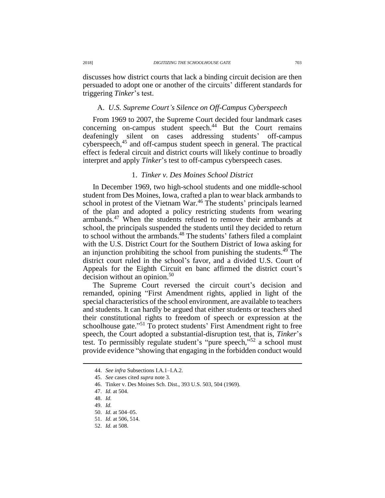discusses how district courts that lack a binding circuit decision are then persuaded to adopt one or another of the circuits' different standards for triggering *Tinker*'s test.

## A. *U.S. Supreme Court's Silence on Off-Campus Cyberspeech*

From 1969 to 2007, the Supreme Court decided four landmark cases concerning on-campus student speech. <sup>44</sup> But the Court remains deafeningly silent on cases addressing students' off-campus cyberspeech, <sup>45</sup> and off-campus student speech in general. The practical effect is federal circuit and district courts will likely continue to broadly interpret and apply *Tinker*'s test to off-campus cyberspeech cases.

## 1. *Tinker v. Des Moines School District*

In December 1969, two high-school students and one middle-school student from Des Moines, Iowa, crafted a plan to wear black armbands to school in protest of the Vietnam War.<sup>46</sup> The students' principals learned of the plan and adopted a policy restricting students from wearing armbands.<sup>47</sup> When the students refused to remove their armbands at school, the principals suspended the students until they decided to return to school without the armbands.<sup>48</sup> The students' fathers filed a complaint with the U.S. District Court for the Southern District of Iowa asking for an injunction prohibiting the school from punishing the students. $49$  The district court ruled in the school's favor, and a divided U.S. Court of Appeals for the Eighth Circuit en banc affirmed the district court's decision without an opinion.<sup>50</sup>

The Supreme Court reversed the circuit court's decision and remanded, opining "First Amendment rights, applied in light of the special characteristics of the school environment, are available to teachers and students. It can hardly be argued that either students or teachers shed their constitutional rights to freedom of speech or expression at the schoolhouse gate."<sup>51</sup> To protect students' First Amendment right to free speech, the Court adopted a substantial-disruption test, that is, *Tinker*'s test. To permissibly regulate student's "pure speech," <sup>52</sup> a school must provide evidence "showing that engaging in the forbidden conduct would

 $\overline{a}$ 

52. *Id.* at 508.

<sup>44.</sup> *See infra* Subsections I.A.1–I.A.2.

<sup>45.</sup> *See* cases cited *supra* note [3.](#page-2-0)

<sup>46.</sup> Tinker v. Des Moines Sch. Dist., 393 U.S. 503, 504 (1969).

<sup>47.</sup> *Id.* at 504.

<sup>48.</sup> *Id.*

<sup>49.</sup> *Id.*

<sup>50.</sup> *Id.* at 504–05.

<sup>51.</sup> *Id.* at 506, 514.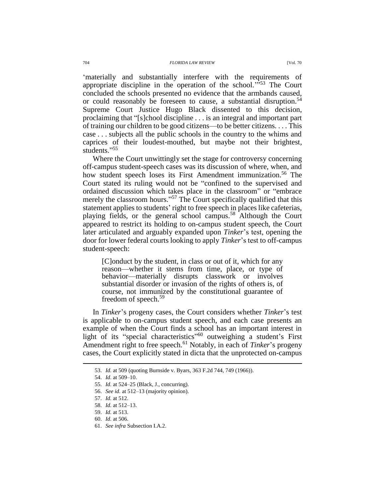### 704 *FLORIDA LAW REVIEW* [Vol. 70

'materially and substantially interfere with the requirements of appropriate discipline in the operation of the school.<sup> $353$ </sup> The Court concluded the schools presented no evidence that the armbands caused, or could reasonably be foreseen to cause, a substantial disruption.<sup>54</sup> Supreme Court Justice Hugo Black dissented to this decision, proclaiming that "[s]chool discipline . . . is an integral and important part of training our children to be good citizens—to be better citizens. . . . This case . . . subjects all the public schools in the country to the whims and caprices of their loudest-mouthed, but maybe not their brightest, students." 55

Where the Court unwittingly set the stage for controversy concerning off-campus student-speech cases was its discussion of where, when, and how student speech loses its First Amendment immunization.<sup>56</sup> The Court stated its ruling would not be "confined to the supervised and ordained discussion which takes place in the classroom" or "embrace merely the classroom hours."<sup>57</sup> The Court specifically qualified that this statement applies to students' right to free speech in places like cafeterias, playing fields, or the general school campus.<sup>58</sup> Although the Court appeared to restrict its holding to on-campus student speech, the Court later articulated and arguably expanded upon *Tinker*'s test, opening the door for lower federal courts looking to apply *Tinker*'s test to off-campus student-speech:

[C]onduct by the student, in class or out of it, which for any reason—whether it stems from time, place, or type of behavior—materially disrupts classwork or involves substantial disorder or invasion of the rights of others is, of course, not immunized by the constitutional guarantee of freedom of speech.<sup>59</sup>

In *Tinker*'s progeny cases, the Court considers whether *Tinker*'s test is applicable to on-campus student speech, and each case presents an example of when the Court finds a school has an important interest in light of its "special characteristics" <sup>60</sup> outweighing a student's First Amendment right to free speech.<sup>61</sup> Notably, in each of *Tinker*'s progeny cases, the Court explicitly stated in dicta that the unprotected on-campus

 $\overline{a}$ 

61. *See infra* Subsection I.A.2.

<sup>53.</sup> *Id.* at 509 (quoting Burnside v. Byars, 363 F.2d 744, 749 (1966)).

<sup>54.</sup> *Id.* at 509–10.

<sup>55.</sup> *Id.* at 524–25 (Black, J., concurring).

<sup>56.</sup> *See id.* at 512–13 (majority opinion).

<sup>57.</sup> *Id.* at 512.

<sup>58.</sup> *Id.* at 512–13.

<sup>59.</sup> *Id.* at 513.

<sup>60.</sup> *Id.* at 506.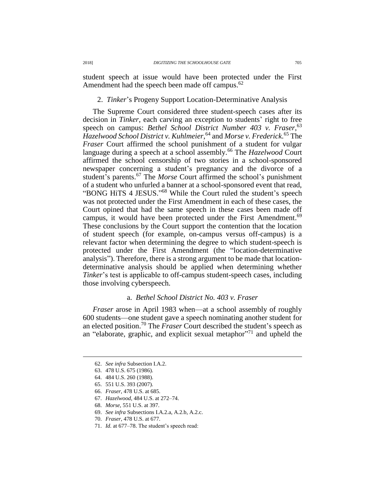student speech at issue would have been protected under the First Amendment had the speech been made off campus.<sup>62</sup>

# 2. *Tinker*'s Progeny Support Location-Determinative Analysis

The Supreme Court considered three student-speech cases after its decision in *Tinker*, each carving an exception to students' right to free speech on campus: *Bethel School District Number 403 v. Fraser*, 63 *Hazelwood School District v. Kuhlmeier*, <sup>64</sup> and *Morse v. Frederick*. <sup>65</sup> The *Fraser* Court affirmed the school punishment of a student for vulgar language during a speech at a school assembly.<sup>66</sup> The *Hazelwood* Court affirmed the school censorship of two stories in a school-sponsored newspaper concerning a student's pregnancy and the divorce of a student's parents.<sup>67</sup> The *Morse* Court affirmed the school's punishment of a student who unfurled a banner at a school-sponsored event that read, "BONG HiTS 4 JESUS." <sup>68</sup> While the Court ruled the student's speech was not protected under the First Amendment in each of these cases, the Court opined that had the same speech in these cases been made off campus, it would have been protected under the First Amendment.<sup>69</sup> These conclusions by the Court support the contention that the location of student speech (for example, on-campus versus off-campus) is a relevant factor when determining the degree to which student-speech is protected under the First Amendment (the "location-determinative analysis"). Therefore, there is a strong argument to be made that locationdeterminative analysis should be applied when determining whether *Tinker*'s test is applicable to off-campus student-speech cases, including those involving cyberspeech.

## a. *Bethel School District No. 403 v. Fraser*

*Fraser* arose in April 1983 when—at a school assembly of roughly 600 students—one student gave a speech nominating another student for an elected position.<sup>70</sup> The *Fraser* Court described the student's speech as an "elaborate, graphic, and explicit sexual metaphor"<sup>71</sup> and upheld the

- 65. 551 U.S. 393 (2007).
- 66. *Fraser*, 478 U.S. at 685.
- 67. *Hazelwood*, 484 U.S. at 272–74.
- 68. *Morse*, 551 U.S. at 397.
- 69. *See infra* Subsections I.A.2.a, A.2.b, A.2.c.
- 70. *Fraser*, 478 U.S. at 677.
- 71. *Id.* at 677–78. The student's speech read:

<sup>62.</sup> *See infra* Subsection I.A.2.

<sup>63.</sup> 478 U.S. 675 (1986).

<sup>64.</sup> 484 U.S. 260 (1988).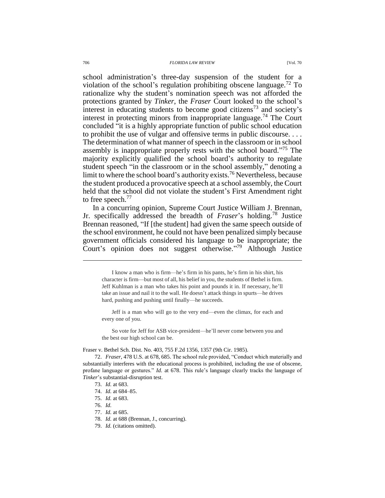#### 706 *FLORIDA LAW REVIEW* [Vol. 70

school administration's three-day suspension of the student for a violation of the school's regulation prohibiting obscene language.<sup>72</sup> To rationalize why the student's nomination speech was not afforded the protections granted by *Tinker*, the *Fraser* Court looked to the school's interest in educating students to become good citizens<sup>73</sup> and society's interest in protecting minors from inappropriate language.<sup>74</sup> The Court concluded "it is a highly appropriate function of public school education to prohibit the use of vulgar and offensive terms in public discourse. . . . The determination of what manner of speech in the classroom or in school assembly is inappropriate properly rests with the school board." <sup>75</sup> The majority explicitly qualified the school board's authority to regulate student speech "in the classroom or in the school assembly," denoting a limit to where the school board's authority exists.<sup>76</sup> Nevertheless, because the student produced a provocative speech at a school assembly, the Court held that the school did not violate the student's First Amendment right to free speech.<sup>77</sup>

In a concurring opinion, Supreme Court Justice William J. Brennan, Jr. specifically addressed the breadth of *Fraser*'s holding.<sup>78</sup> Justice Brennan reasoned, "If [the student] had given the same speech outside of the school environment, he could not have been penalized simply because government officials considered his language to be inappropriate; the Court's opinion does not suggest otherwise." <sup>79</sup> Although Justice

Jeff is a man who will go to the very end—even the climax, for each and every one of you.

So vote for Jeff for ASB vice-president—he'll never come between you and the best our high school can be.

Fraser v. Bethel Sch. Dist. No. 403, 755 F.2d 1356, 1357 (9th Cir. 1985).

72. *Fraser*, 478 U.S. at 678, 685. The school rule provided, "Conduct which materially and substantially interferes with the educational process is prohibited, including the use of obscene, profane language or gestures." *Id.* at 678. This rule's language clearly tracks the language of *Tinker*'s substantial-disruption test.

- 74. *Id.* at 684–85.
- 75. *Id.* at 683.
- 76. *Id.*
- 77. *Id.* at 685.
- 78. *Id.* at 688 (Brennan, J., concurring).
- 79. *Id.* (citations omitted).

I know a man who is firm—he's firm in his pants, he's firm in his shirt, his character is firm—but most of all, his belief in you, the students of Bethel is firm. Jeff Kuhlman is a man who takes his point and pounds it in. If necessary, he'll take an issue and nail it to the wall. He doesn't attack things in spurts—he drives hard, pushing and pushing until finally—he succeeds.

<sup>73.</sup> *Id.* at 683.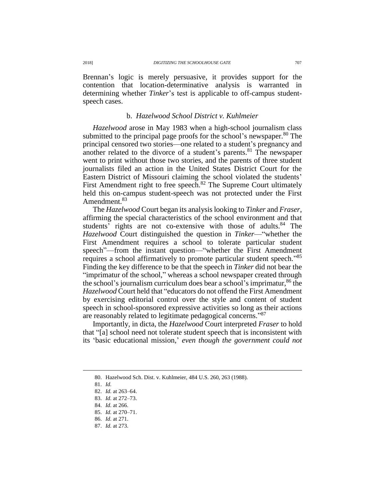Brennan's logic is merely persuasive, it provides support for the contention that location-determinative analysis is warranted in determining whether *Tinker*'s test is applicable to off-campus studentspeech cases.

# b. *Hazelwood School District v. Kuhlmeier*

*Hazelwood* arose in May 1983 when a high-school journalism class submitted to the principal page proofs for the school's newspaper.<sup>80</sup> The principal censored two stories—one related to a student's pregnancy and another related to the divorce of a student's parents.<sup>81</sup> The newspaper went to print without those two stories, and the parents of three student journalists filed an action in the United States District Court for the Eastern District of Missouri claiming the school violated the students' First Amendment right to free speech.<sup>82</sup> The Supreme Court ultimately held this on-campus student-speech was not protected under the First Amendment.<sup>83</sup>

The *Hazelwood* Court began its analysis looking to *Tinker* and *Fraser*, affirming the special characteristics of the school environment and that students' rights are not co-extensive with those of adults.<sup>84</sup> The *Hazelwood* Court distinguished the question in *Tinker*—"whether the First Amendment requires a school to tolerate particular student speech"—from the instant question—"whether the First Amendment requires a school affirmatively to promote particular student speech." 85 Finding the key difference to be that the speech in *Tinker* did not bear the "imprimatur of the school," whereas a school newspaper created through the school's journalism curriculum does bear a school's imprimatur,<sup>86</sup> the *Hazelwood* Court held that "educators do not offend the First Amendment by exercising editorial control over the style and content of student speech in school-sponsored expressive activities so long as their actions are reasonably related to legitimate pedagogical concerns."87

Importantly, in dicta, the *Hazelwood* Court interpreted *Fraser* to hold that "[a] school need not tolerate student speech that is inconsistent with its 'basic educational mission,' *even though the government could not* 

- 85. *Id.* at 270–71.
- 86. *Id.* at 271.
- 87. *Id.* at 273.

<sup>80.</sup> Hazelwood Sch. Dist. v. Kuhlmeier, 484 U.S. 260, 263 (1988).

<sup>81.</sup> *Id.*

<sup>82.</sup> *Id.* at 263–64.

<sup>83.</sup> *Id.* at 272–73.

<sup>84.</sup> *Id.* at 266.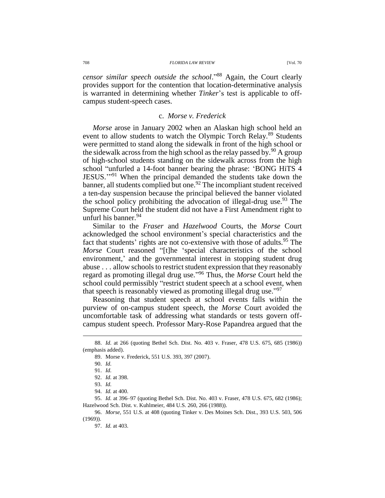708 *FLORIDA LAW REVIEW* [Vol. 70

*censor similar speech outside the school*." <sup>88</sup> Again, the Court clearly provides support for the contention that location-determinative analysis is warranted in determining whether *Tinker*'s test is applicable to offcampus student-speech cases.

### c. *Morse v. Frederick*

*Morse* arose in January 2002 when an Alaskan high school held an event to allow students to watch the Olympic Torch Relay.<sup>89</sup> Students were permitted to stand along the sidewalk in front of the high school or the sidewalk across from the high school as the relay passed by.<sup>90</sup> A group of high-school students standing on the sidewalk across from the high school "unfurled a 14-foot banner bearing the phrase: 'BONG HiTS 4 JESUS.'" <sup>91</sup> When the principal demanded the students take down the banner, all students complied but one.<sup>92</sup> The incompliant student received a ten-day suspension because the principal believed the banner violated the school policy prohibiting the advocation of illegal-drug use.<sup>93</sup> The Supreme Court held the student did not have a First Amendment right to unfurl his banner.<sup>94</sup>

Similar to the *Fraser* and *Hazelwood* Courts, the *Morse* Court acknowledged the school environment's special characteristics and the fact that students' rights are not co-extensive with those of adults.<sup>95</sup> The *Morse* Court reasoned "[t]he 'special characteristics of the school environment,' and the governmental interest in stopping student drug abuse . . . allow schools to restrict student expression that they reasonably regard as promoting illegal drug use." <sup>96</sup> Thus, the *Morse* Court held the school could permissibly "restrict student speech at a school event, when that speech is reasonably viewed as promoting illegal drug use."97

Reasoning that student speech at school events falls within the purview of on-campus student speech, the *Morse* Court avoided the uncomfortable task of addressing what standards or tests govern offcampus student speech. Professor Mary-Rose Papandrea argued that the

<sup>88.</sup> *Id.* at 266 (quoting Bethel Sch. Dist. No. 403 v. Fraser, 478 U.S. 675, 685 (1986)) (emphasis added).

<sup>89.</sup> Morse v. Frederick, 551 U.S. 393, 397 (2007).

<sup>90.</sup> *Id.*

<sup>91.</sup> *Id.*

<sup>92.</sup> *Id.* at 398.

<sup>93.</sup> *Id.*

<sup>94.</sup> *Id.* at 400.

<sup>95.</sup> *Id.* at 396–97 (quoting Bethel Sch. Dist. No. 403 v. Fraser, 478 U.S. 675, 682 (1986); Hazelwood Sch. Dist. v. Kuhlmeier, 484 U.S. 260, 266 (1988)).

<sup>96.</sup> *Morse*, 551 U.S. at 408 (quoting Tinker v. Des Moines Sch. Dist., 393 U.S. 503, 506 (1969)).

<sup>97.</sup> *Id.* at 403.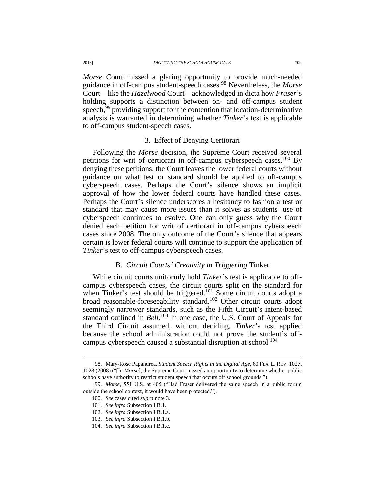*Morse* Court missed a glaring opportunity to provide much-needed guidance in off-campus student-speech cases.<sup>98</sup> Nevertheless, the *Morse* Court—like the *Hazelwood* Court—acknowledged in dicta how *Fraser*'s holding supports a distinction between on- and off-campus student speech,<sup>99</sup> providing support for the contention that location-determinative analysis is warranted in determining whether *Tinker*'s test is applicable to off-campus student-speech cases.

## <span id="page-14-0"></span>3. Effect of Denying Certiorari

Following the *Morse* decision, the Supreme Court received several petitions for writ of certiorari in off-campus cyberspeech cases.<sup>100</sup> By denying these petitions, the Court leaves the lower federal courts without guidance on what test or standard should be applied to off-campus cyberspeech cases. Perhaps the Court's silence shows an implicit approval of how the lower federal courts have handled these cases. Perhaps the Court's silence underscores a hesitancy to fashion a test or standard that may cause more issues than it solves as students' use of cyberspeech continues to evolve. One can only guess why the Court denied each petition for writ of certiorari in off-campus cyberspeech cases since 2008. The only outcome of the Court's silence that appears certain is lower federal courts will continue to support the application of *Tinker*'s test to off-campus cyberspeech cases.

## B. *Circuit Courts' Creativity in Triggering* Tinker

While circuit courts uniformly hold *Tinker*'s test is applicable to offcampus cyberspeech cases, the circuit courts split on the standard for when Tinker's test should be triggered.<sup>101</sup> Some circuit courts adopt a broad reasonable-foreseeability standard.<sup>102</sup> Other circuit courts adopt seemingly narrower standards, such as the Fifth Circuit's intent-based standard outlined in *Bell*.<sup>103</sup> In one case, the U.S. Court of Appeals for the Third Circuit assumed, without deciding, *Tinker*'s test applied because the school administration could not prove the student's offcampus cyberspeech caused a substantial disruption at school.<sup>104</sup>

<sup>98.</sup> Mary-Rose Papandrea, *Student Speech Rights in the Digital Age*, 60 FLA. L. REV. 1027, 1028 (2008) ("[In *Morse*], the Supreme Court missed an opportunity to determine whether public schools have authority to restrict student speech that occurs off school grounds.").

<sup>99.</sup> *Morse*, 551 U.S. at 405 ("Had Fraser delivered the same speech in a public forum outside the school context, it would have been protected.").

<sup>100.</sup> *See* cases cited *supra* note [3.](#page-2-0) 

<sup>101.</sup> *See infra* Subsection I.B.1.

<sup>102.</sup> *See infra* Subsection I.B.1.a.

<sup>103.</sup> *See infra* Subsection I.B.1.b.

<sup>104.</sup> *See infra* Subsection I.B.1.c.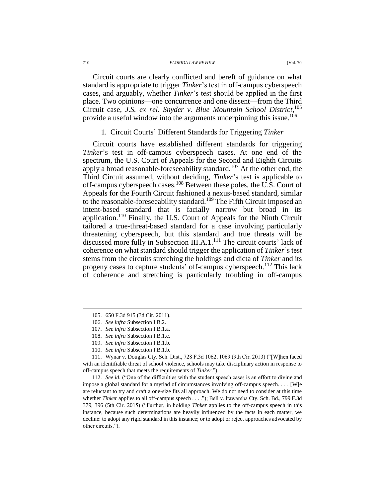#### 710 *FLORIDA LAW REVIEW* [Vol. 70

Circuit courts are clearly conflicted and bereft of guidance on what standard is appropriate to trigger *Tinker*'s test in off-campus cyberspeech cases, and arguably, whether *Tinker*'s test should be applied in the first place. Two opinions—one concurrence and one dissent—from the Third Circuit case, *J.S. ex rel. Snyder v. Blue Mountain School District*, 105 provide a useful window into the arguments underpinning this issue.<sup>106</sup>

# 1. Circuit Courts' Different Standards for Triggering *Tinker*

Circuit courts have established different standards for triggering *Tinker*'s test in off-campus cyberspeech cases. At one end of the spectrum, the U.S. Court of Appeals for the Second and Eighth Circuits apply a broad reasonable-foreseeability standard.<sup>107</sup> At the other end, the Third Circuit assumed, without deciding, *Tinker*'s test is applicable to off-campus cyberspeech cases.<sup>108</sup> Between these poles, the U.S. Court of Appeals for the Fourth Circuit fashioned a nexus-based standard, similar to the reasonable-foreseeability standard.<sup>109</sup> The Fifth Circuit imposed an intent-based standard that is facially narrow but broad in its application.<sup>110</sup> Finally, the U.S. Court of Appeals for the Ninth Circuit tailored a true-threat-based standard for a case involving particularly threatening cyberspeech, but this standard and true threats will be discussed more fully in Subsection III.A.1.<sup>111</sup> The circuit courts' lack of coherence on what standard should trigger the application of *Tinker*'s test stems from the circuits stretching the holdings and dicta of *Tinker* and its progeny cases to capture students' off-campus cyberspeech.<sup>112</sup> This lack of coherence and stretching is particularly troubling in off-campus

 $\overline{a}$ 

110. *See infra* Subsection I.B.1.b.

112. *See id.* ("One of the difficulties with the student speech cases is an effort to divine and impose a global standard for a myriad of circumstances involving off-campus speech. . . . [W]e are reluctant to try and craft a one-size fits all approach. We do not need to consider at this time whether *Tinker* applies to all off-campus speech . . . ."); Bell v. Itawamba Cty. Sch. Bd., 799 F.3d 379, 396 (5th Cir. 2015) ("Further, in holding *Tinker* applies to the off-campus speech in this instance, because such determinations are heavily influenced by the facts in each matter, we decline: to adopt any rigid standard in this instance; or to adopt or reject approaches advocated by other circuits.").

<sup>105.</sup> 650 F.3d 915 (3d Cir. 2011).

<sup>106.</sup> *See infra* Subsection I.B.2.

<sup>107.</sup> *See infra* Subsection I.B.1.a.

<sup>108.</sup> *See infra* Subsection I.B.1.c.

<sup>109.</sup> *See infra* Subsection I.B.1.b.

<sup>111.</sup> Wynar v. Douglas Cty. Sch. Dist., 728 F.3d 1062, 1069 (9th Cir. 2013) ("[W]hen faced with an identifiable threat of school violence, schools may take disciplinary action in response to off-campus speech that meets the requirements of *Tinker*.").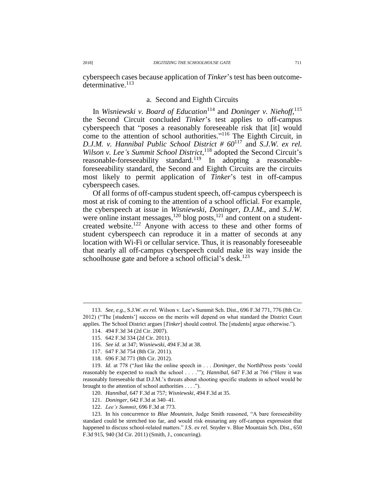cyberspeech cases because application of *Tinker*'s test has been outcomedeterminative. $113$ 

## a. Second and Eighth Circuits

In *Wisniewski v. Board of Education*<sup>114</sup> and *Doninger v. Niehoff*,<sup>115</sup> the Second Circuit concluded *Tinker*'s test applies to off-campus cyberspeech that "poses a reasonably foreseeable risk that [it] would come to the attention of school authorities." <sup>116</sup> The Eighth Circuit, in *D.J.M. v. Hannibal Public School District # 60*<sup>117</sup> and *S.J.W. ex rel.*  Wilson v. Lee's Summit School District,<sup>118</sup> adopted the Second Circuit's reasonable-foreseeability standard.<sup>119</sup> In adopting a reasonableforeseeability standard, the Second and Eighth Circuits are the circuits most likely to permit application of *Tinker*'s test in off-campus cyberspeech cases.

Of all forms of off-campus student speech, off-campus cyberspeech is most at risk of coming to the attention of a school official. For example, the cyberspeech at issue in *Wisniewski*, *Doninger*, *D.J.M.*, and *S.J.W.* were online instant messages, $120 \text{ blog posts}$ ,  $121 \text{ and content on a student-}$ created website.<sup>122</sup> Anyone with access to these and other forms of student cyberspeech can reproduce it in a matter of seconds at any location with Wi-Fi or cellular service. Thus, it is reasonably foreseeable that nearly all off-campus cyberspeech could make its way inside the schoolhouse gate and before a school official's desk.<sup>123</sup>

121. *Doninger*, 642 F.3d at 340–41.

<sup>113.</sup> *See, e.g.*, S.J.W. *ex rel.* Wilson v. Lee's Summit Sch. Dist., 696 F.3d 771, 776 (8th Cir. 2012) ("The [students'] success on the merits will depend on what standard the District Court applies. The School District argues [*Tinker*] should control. The [students] argue otherwise.").

<sup>114.</sup> 494 F.3d 34 (2d Cir. 2007).

<sup>115.</sup> 642 F.3d 334 (2d Cir. 2011).

<sup>116.</sup> *See id.* at 347; *Wisniewski*, 494 F.3d at 38.

<sup>117.</sup> 647 F.3d 754 (8th Cir. 2011).

<sup>118.</sup> 696 F.3d 771 (8th Cir. 2012).

<sup>119.</sup> *Id.* at 778 ("Just like the online speech in . . . *Doninger*, the NorthPress posts 'could reasonably be expected to reach the school . . . .'"); *Hannibal*, 647 F.3d at 766 ("Here it was reasonably foreseeable that D.J.M.'s threats about shooting specific students in school would be brought to the attention of school authorities . . . .").

<sup>120.</sup> *Hannibal*, 647 F.3d at 757; *Wisniewski*, 494 F.3d at 35.

<sup>122.</sup> *Lee's Summit*, 696 F.3d at 773.

<sup>123.</sup> In his concurrence to *Blue Mountain*, Judge Smith reasoned, "A bare foreseeability standard could be stretched too far, and would risk ensnaring any off-campus expression that happened to discuss school-related matters." J.S. *ex rel.* Snyder v. Blue Mountain Sch. Dist., 650 F.3d 915, 940 (3d Cir. 2011) (Smith, J., concurring).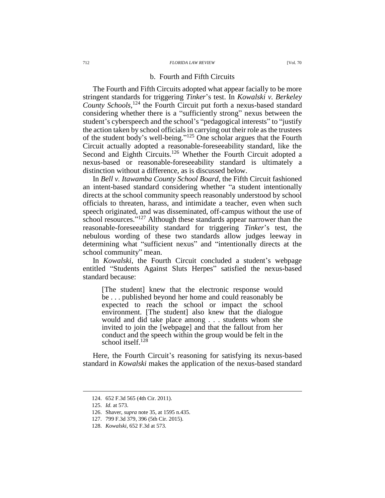### 712 *FLORIDA LAW REVIEW* [Vol. 70

## b. Fourth and Fifth Circuits

The Fourth and Fifth Circuits adopted what appear facially to be more stringent standards for triggering *Tinker*'s test. In *Kowalski v. Berkeley County Schools*, <sup>124</sup> the Fourth Circuit put forth a nexus-based standard considering whether there is a "sufficiently strong" nexus between the student's cyberspeech and the school's "pedagogical interests" to "justify the action taken by school officials in carrying out their role as the trustees of the student body's well-being." <sup>125</sup> One scholar argues that the Fourth Circuit actually adopted a reasonable-foreseeability standard, like the Second and Eighth Circuits.<sup>126</sup> Whether the Fourth Circuit adopted a nexus-based or reasonable-foreseeability standard is ultimately a distinction without a difference, as is discussed below.

In *Bell v. Itawamba County School Board*, the Fifth Circuit fashioned an intent-based standard considering whether "a student intentionally directs at the school community speech reasonably understood by school officials to threaten, harass, and intimidate a teacher, even when such speech originated, and was disseminated, off-campus without the use of school resources."<sup>127</sup> Although these standards appear narrower than the reasonable-foreseeability standard for triggering *Tinker*'s test, the nebulous wording of these two standards allow judges leeway in determining what "sufficient nexus" and "intentionally directs at the school community" mean.

In *Kowalski*, the Fourth Circuit concluded a student's webpage entitled "Students Against Sluts Herpes" satisfied the nexus-based standard because:

[The student] knew that the electronic response would be . . . published beyond her home and could reasonably be expected to reach the school or impact the school environment. [The student] also knew that the dialogue would and did take place among . . . students whom she invited to join the [webpage] and that the fallout from her conduct and the speech within the group would be felt in the school itself. $128$ 

Here, the Fourth Circuit's reasoning for satisfying its nexus-based standard in *Kowalski* makes the application of the nexus-based standard

<sup>124.</sup> 652 F.3d 565 (4th Cir. 2011).

<sup>125.</sup> *Id.* at 573.

<sup>126.</sup> Shaver, *supra* not[e 35,](#page-5-0) at 1595 n.435.

<sup>127.</sup> 799 F.3d 379, 396 (5th Cir. 2015).

<sup>128.</sup> *Kowalski*, 652 F.3d at 573.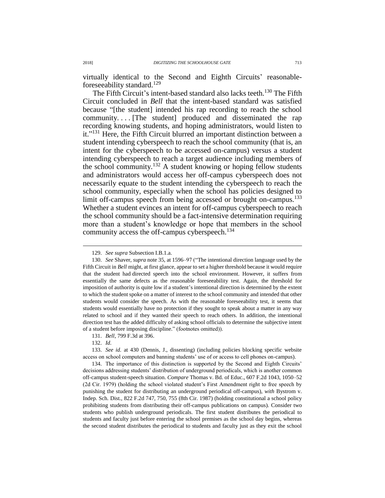virtually identical to the Second and Eighth Circuits' reasonableforeseeability standard.<sup>129</sup>

The Fifth Circuit's intent-based standard also lacks teeth.<sup>130</sup> The Fifth Circuit concluded in *Bell* that the intent-based standard was satisfied because "[the student] intended his rap recording to reach the school community. . . . [The student] produced and disseminated the rap recording knowing students, and hoping administrators, would listen to it."<sup>131</sup> Here, the Fifth Circuit blurred an important distinction between a student intending cyberspeech to reach the school community (that is, an intent for the cyberspeech to be accessed on-campus) versus a student intending cyberspeech to reach a target audience including members of the school community. <sup>132</sup> A student knowing or hoping fellow students and administrators would access her off-campus cyberspeech does not necessarily equate to the student intending the cyberspeech to reach the school community, especially when the school has policies designed to limit off-campus speech from being accessed or brought on-campus.<sup>133</sup> Whether a student evinces an intent for off-campus cyberspeech to reach the school community should be a fact-intensive determination requiring more than a student's knowledge or hope that members in the school community access the off-campus cyberspeech. 134

 $\overline{a}$ 

134. The importance of this distinction is supported by the Second and Eighth Circuits' decisions addressing students' distribution of underground periodicals, which is another common off-campus student-speech situation. *Compare* Thomas v. Bd. of Educ., 607 F.2d 1043, 1050–52 (2d Cir. 1979) (holding the school violated student's First Amendment right to free speech by punishing the student for distributing an underground periodical off-campus), *with* Bystrom v. Indep. Sch. Dist., 822 F.2d 747, 750, 755 (8th Cir. 1987) (holding constitutional a school policy prohibiting students from distributing their off-campus publications on campus). Consider two students who publish underground periodicals. The first student distributes the periodical to students and faculty just before entering the school premises as the school day begins, whereas the second student distributes the periodical to students and faculty just as they exit the school

<sup>129.</sup> *See supra* Subsection I.B.1.a.

<sup>130.</sup> *See* Shaver, *supra* note [35,](#page-5-0) at 1596–97 ("The intentional direction language used by the Fifth Circuit in *Bell* might, at first glance, appear to set a higher threshold because it would require that the student had directed speech into the school environment. However, it suffers from essentially the same defects as the reasonable foreseeability test. Again, the threshold for imposition of authority is quite low if a student's intentional direction is determined by the extent to which the student spoke on a matter of interest to the school community and intended that other students would consider the speech. As with the reasonable foreseeability test, it seems that students would essentially have no protection if they sought to speak about a matter in any way related to school and if they wanted their speech to reach others. In addition, the intentional direction test has the added difficulty of asking school officials to determine the subjective intent of a student before imposing discipline." (footnotes omitted)).

<sup>131.</sup> *Bell*, 799 F.3d at 396.

<sup>132.</sup> *Id.*

<sup>133.</sup> *See id.* at 430 (Dennis, J., dissenting) (including policies blocking specific website access on school computers and banning students' use of or access to cell phones on-campus).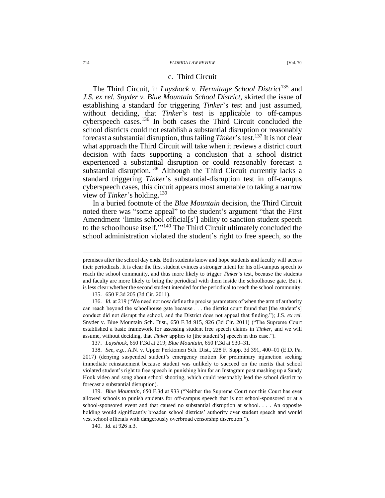### 714 *FLORIDA LAW REVIEW* [Vol. 70

## c. Third Circuit

The Third Circuit, in *Layshock v. Hermitage School District*<sup>135</sup> and *J.S. ex rel. Snyder v. Blue Mountain School District*, skirted the issue of establishing a standard for triggering *Tinker*'s test and just assumed, without deciding, that *Tinker*'s test is applicable to off-campus cyberspeech cases.<sup>136</sup> In both cases the Third Circuit concluded the school districts could not establish a substantial disruption or reasonably forecast a substantial disruption, thus failing *Tinker*'stest.<sup>137</sup> It is not clear what approach the Third Circuit will take when it reviews a district court decision with facts supporting a conclusion that a school district experienced a substantial disruption or could reasonably forecast a substantial disruption.<sup>138</sup> Although the Third Circuit currently lacks a standard triggering *Tinker*'s substantial-disruption test in off-campus cyberspeech cases, this circuit appears most amenable to taking a narrow view of *Tinker*'s holding.<sup>139</sup>

In a buried footnote of the *Blue Mountain* decision, the Third Circuit noted there was "some appeal" to the student's argument "that the First Amendment 'limits school official[s'] ability to sanction student speech to the schoolhouse itself."<sup>140</sup> The Third Circuit ultimately concluded the school administration violated the student's right to free speech, so the

135. 650 F.3d 205 (3d Cir. 2011).

136. *Id.* at 219 ("We need not now define the precise parameters of when the arm of authority can reach beyond the schoolhouse gate because . . . the district court found that [the student's] conduct did not disrupt the school, and the District does not appeal that finding."); J.S. *ex rel.* Snyder v. Blue Mountain Sch. Dist., 650 F.3d 915, 926 (3d Cir. 2011) ("The Supreme Court established a basic framework for assessing student free speech claims in *Tinker*, and we will assume, without deciding, that *Tinker* applies to [the student's] speech in this case.").

137. *Layshock*, 650 F.3d at 219; *Blue Mountain*, 650 F.3d at 930–31.

138. *See, e.g.*, A.N. v. Upper Perkiomen Sch. Dist., 228 F. Supp. 3d 391, 400–01 (E.D. Pa. 2017) (denying suspended student's emergency motion for preliminary injunction seeking immediate reinstatement because student was unlikely to succeed on the merits that school violated student's right to free speech in punishing him for an Instagram post mashing up a Sandy Hook video and song about school shooting, which could reasonably lead the school district to forecast a substantial disruption).

139. *Blue Mountain*, 650 F.3d at 933 ("Neither the Supreme Court nor this Court has ever allowed schools to punish students for off-campus speech that is not school-sponsored or at a school-sponsored event and that caused no substantial disruption at school. . . . An opposite holding would significantly broaden school districts' authority over student speech and would vest school officials with dangerously overbroad censorship discretion.").

140. *Id.* at 926 n.3.

premises after the school day ends. Both students know and hope students and faculty will access their periodicals. It is clear the first student evinces a stronger intent for his off-campus speech to reach the school community, and thus more likely to trigger *Tinker*'s test, because the students and faculty are more likely to bring the periodical with them inside the schoolhouse gate. But it is less clear whether the second student intended for the periodical to reach the school community.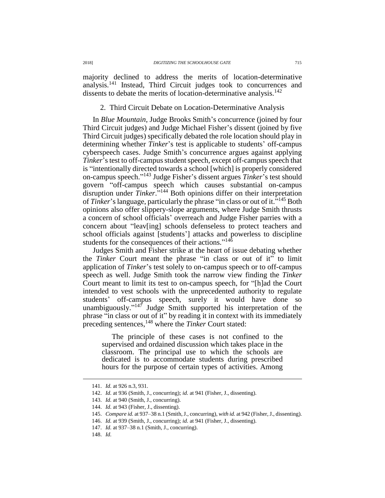majority declined to address the merits of location-determinative analysis.<sup>141</sup> Instead, Third Circuit judges took to concurrences and dissents to debate the merits of location-determinative analysis.<sup>142</sup>

## 2. Third Circuit Debate on Location-Determinative Analysis

In *Blue Mountain*, Judge Brooks Smith's concurrence (joined by four Third Circuit judges) and Judge Michael Fisher's dissent (joined by five Third Circuit judges) specifically debated the role location should play in determining whether *Tinker*'s test is applicable to students' off-campus cyberspeech cases. Judge Smith's concurrence argues against applying *Tinker*'s test to off-campus student speech, except off-campus speech that is "intentionally directed towards a school [which] is properly considered on-campus speech." <sup>143</sup> Judge Fisher's dissent argues *Tinker*'s test should govern "off-campus speech which causes substantial on-campus disruption under  $\overline{T}$ *inker*.<sup>7144</sup> Both opinions differ on their interpretation of *Tinker*'s language, particularly the phrase "in class or out of it.<sup>7145</sup> Both opinions also offer slippery-slope arguments, where Judge Smith thrusts a concern of school officials' overreach and Judge Fisher parries with a concern about "leav[ing] schools defenseless to protect teachers and school officials against [students'] attacks and powerless to discipline students for the consequences of their actions." $14\overline{6}$ 

Judges Smith and Fisher strike at the heart of issue debating whether the *Tinker* Court meant the phrase "in class or out of it" to limit application of *Tinker*'s test solely to on-campus speech or to off-campus speech as well. Judge Smith took the narrow view finding the *Tinker* Court meant to limit its test to on-campus speech, for "[h]ad the Court intended to vest schools with the unprecedented authority to regulate students' off-campus speech, surely it would have done so unambiguously." $147$  Judge Smith supported his interpretation of the phrase "in class or out of it" by reading it in context with its immediately preceding sentences,<sup>148</sup> where the *Tinker* Court stated:

The principle of these cases is not confined to the supervised and ordained discussion which takes place in the classroom. The principal use to which the schools are dedicated is to accommodate students during prescribed hours for the purpose of certain types of activities. Among

<sup>141.</sup> *Id.* at 926 n.3, 931.

<sup>142.</sup> *Id.* at 936 (Smith, J., concurring); *id.* at 941 (Fisher, J., dissenting).

<sup>143.</sup> *Id.* at 940 (Smith, J., concurring).

<sup>144.</sup> *Id.* at 943 (Fisher, J., dissenting).

<sup>145.</sup> *Compare id.* at 937–38 n.1 (Smith, J., concurring), *with id.* at 942 (Fisher, J., dissenting).

<sup>146.</sup> *Id.* at 939 (Smith, J., concurring); *id.* at 941 (Fisher, J., dissenting).

<sup>147.</sup> *Id.* at 937–38 n.1 (Smith, J., concurring).

<sup>148.</sup> *Id.*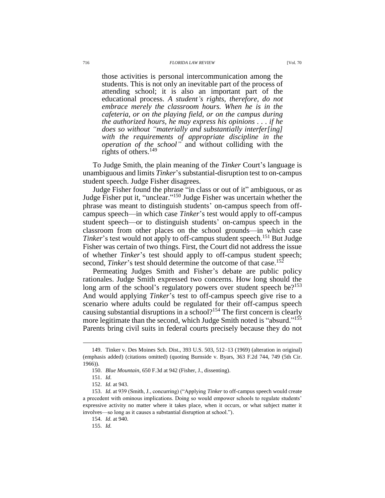### 716 *FLORIDA LAW REVIEW* [Vol. 70

those activities is personal intercommunication among the students. This is not only an inevitable part of the process of attending school; it is also an important part of the educational process. *A student's rights, therefore, do not embrace merely the classroom hours. When he is in the cafeteria, or on the playing field, or on the campus during the authorized hours, he may express his opinions . . . if he does so without "materially and substantially interfer[ing] with the requirements of appropriate discipline in the operation of the school"* and without colliding with the rights of others.<sup>149</sup>

To Judge Smith, the plain meaning of the *Tinker* Court's language is unambiguous and limits *Tinker*'s substantial-disruption test to on-campus student speech. Judge Fisher disagrees.

Judge Fisher found the phrase "in class or out of it" ambiguous, or as Judge Fisher put it, "unclear."<sup>150</sup> Judge Fisher was uncertain whether the phrase was meant to distinguish students' on-campus speech from offcampus speech—in which case *Tinker*'s test would apply to off-campus student speech—or to distinguish students' on-campus speech in the classroom from other places on the school grounds—in which case *Tinker*'s test would not apply to off-campus student speech.<sup>151</sup> But Judge Fisher was certain of two things. First, the Court did not address the issue of whether *Tinker*'s test should apply to off-campus student speech; second, *Tinker*'s test should determine the outcome of that case.<sup>152</sup>

Permeating Judges Smith and Fisher's debate are public policy rationales. Judge Smith expressed two concerns. How long should the long arm of the school's regulatory powers over student speech be?<sup>153</sup> And would applying *Tinker*'s test to off-campus speech give rise to a scenario where adults could be regulated for their off-campus speech causing substantial disruptions in a school?<sup>154</sup> The first concern is clearly more legitimate than the second, which Judge Smith noted is "absurd."<sup>155</sup> Parents bring civil suits in federal courts precisely because they do not

<sup>149.</sup> Tinker v. Des Moines Sch. Dist., 393 U.S. 503, 512–13 (1969) (alteration in original) (emphasis added) (citations omitted) (quoting Burnside v. Byars, 363 F.2d 744, 749 (5th Cir. 1966)).

<sup>150.</sup> *Blue Mountain*, 650 F.3d at 942 (Fisher, J., dissenting).

<sup>151.</sup> *Id.*

<sup>152.</sup> *Id.* at 943.

<sup>153.</sup> *Id.* at 939 (Smith, J., concurring) ("Applying *Tinker* to off-campus speech would create a precedent with ominous implications. Doing so would empower schools to regulate students' expressive activity no matter where it takes place, when it occurs, or what subject matter it involves—so long as it causes a substantial disruption at school.").

<sup>154.</sup> *Id.* at 940.

<sup>155.</sup> *Id.*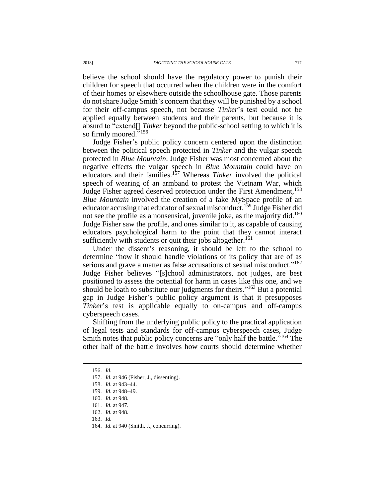believe the school should have the regulatory power to punish their children for speech that occurred when the children were in the comfort of their homes or elsewhere outside the schoolhouse gate. Those parents do not share Judge Smith's concern that they will be punished by a school for their off-campus speech, not because *Tinker*'s test could not be applied equally between students and their parents, but because it is absurd to "extend[] *Tinker* beyond the public-school setting to which it is so firmly moored."<sup>156</sup>

Judge Fisher's public policy concern centered upon the distinction between the political speech protected in *Tinker* and the vulgar speech protected in *Blue Mountain*. Judge Fisher was most concerned about the negative effects the vulgar speech in *Blue Mountain* could have on educators and their families.<sup>157</sup> Whereas *Tinker* involved the political speech of wearing of an armband to protest the Vietnam War, which Judge Fisher agreed deserved protection under the First Amendment, <sup>158</sup> *Blue Mountain* involved the creation of a fake MySpace profile of an educator accusing that educator of sexual misconduct.<sup>159</sup> Judge Fisher did not see the profile as a nonsensical, juvenile joke, as the majority did. 160 Judge Fisher saw the profile, and ones similar to it, as capable of causing educators psychological harm to the point that they cannot interact sufficiently with students or quit their jobs altogether.<sup>161</sup>

Under the dissent's reasoning, it should be left to the school to determine "how it should handle violations of its policy that are of as serious and grave a matter as false accusations of sexual misconduct."<sup>162</sup> Judge Fisher believes "[s]chool administrators, not judges, are best positioned to assess the potential for harm in cases like this one, and we should be loath to substitute our judgments for theirs."<sup>163</sup> But a potential gap in Judge Fisher's public policy argument is that it presupposes *Tinker*'s test is applicable equally to on-campus and off-campus cyberspeech cases.

Shifting from the underlying public policy to the practical application of legal tests and standards for off-campus cyberspeech cases, Judge Smith notes that public policy concerns are "only half the battle."<sup>164</sup> The other half of the battle involves how courts should determine whether

<sup>156.</sup> *Id.*

<sup>157.</sup> *Id.* at 946 (Fisher, J., dissenting).

<sup>158.</sup> *Id.* at 943–44.

<sup>159.</sup> *Id.* at 948–49.

<sup>160.</sup> *Id.* at 948.

<sup>161.</sup> *Id.* at 947.

<sup>162.</sup> *Id.* at 948.

<sup>163.</sup> *Id.*

<sup>164.</sup> *Id.* at 940 (Smith, J., concurring).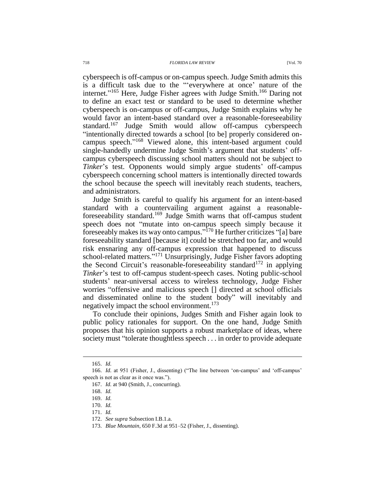cyberspeech is off-campus or on-campus speech. Judge Smith admits this is a difficult task due to the "'everywhere at once' nature of the internet."<sup>165</sup> Here, Judge Fisher agrees with Judge Smith.<sup>166</sup> Daring not to define an exact test or standard to be used to determine whether cyberspeech is on-campus or off-campus, Judge Smith explains why he would favor an intent-based standard over a reasonable-foreseeability standard.<sup>167</sup> Judge Smith would allow off-campus cyberspeech "intentionally directed towards a school [to be] properly considered oncampus speech." <sup>168</sup> Viewed alone, this intent-based argument could single-handedly undermine Judge Smith's argument that students' offcampus cyberspeech discussing school matters should not be subject to *Tinker*'s test. Opponents would simply argue students' off-campus cyberspeech concerning school matters is intentionally directed towards the school because the speech will inevitably reach students, teachers, and administrators.

Judge Smith is careful to qualify his argument for an intent-based standard with a countervailing argument against a reasonableforeseeability standard.<sup>169</sup> Judge Smith warns that off-campus student speech does not "mutate into on-campus speech simply because it foreseeably makes its way onto campus." <sup>170</sup> He further criticizes "[a] bare foreseeability standard [because it] could be stretched too far, and would risk ensnaring any off-campus expression that happened to discuss school-related matters."<sup>171</sup> Unsurprisingly, Judge Fisher favors adopting the Second Circuit's reasonable-foreseeability standard<sup>172</sup> in applying *Tinker*'s test to off-campus student-speech cases. Noting public-school students' near-universal access to wireless technology, Judge Fisher worries "offensive and malicious speech [] directed at school officials and disseminated online to the student body" will inevitably and negatively impact the school environment.<sup>173</sup>

To conclude their opinions, Judges Smith and Fisher again look to public policy rationales for support. On the one hand, Judge Smith proposes that his opinion supports a robust marketplace of ideas, where society must "tolerate thoughtless speech . . . in order to provide adequate

<sup>165.</sup> *Id.*

<sup>166.</sup> *Id.* at 951 (Fisher, J., dissenting) ("The line between 'on-campus' and 'off-campus' speech is not as clear as it once was.").

<sup>167.</sup> *Id.* at 940 (Smith, J., concurring).

<sup>168.</sup> *Id.*

<sup>169.</sup> *Id.*

<sup>170.</sup> *Id.*

<sup>171.</sup> *Id.*

<sup>172.</sup> *See supra* Subsection I.B.1.a.

<sup>173.</sup> *Blue Mountain*, 650 F.3d at 951–52 (Fisher, J., dissenting).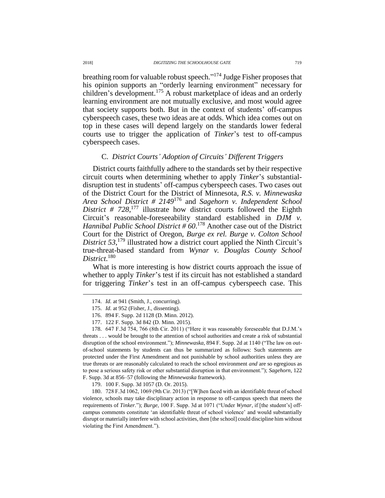breathing room for valuable robust speech."<sup>174</sup> Judge Fisher proposes that his opinion supports an "orderly learning environment" necessary for children's development.<sup>175</sup> A robust marketplace of ideas and an orderly learning environment are not mutually exclusive, and most would agree that society supports both. But in the context of students' off-campus cyberspeech cases, these two ideas are at odds. Which idea comes out on top in these cases will depend largely on the standards lower federal courts use to trigger the application of *Tinker*'s test to off-campus cyberspeech cases.

# C. *District Courts' Adoption of Circuits' Different Triggers*

District courts faithfully adhere to the standards set by their respective circuit courts when determining whether to apply *Tinker*'s substantialdisruption test in students' off-campus cyberspeech cases. Two cases out of the District Court for the District of Minnesota, *R.S. v. Minnewaska Area School District # 2149*<sup>176</sup> and *Sagehorn v. Independent School*  District #  $728$ <sup>177</sup> illustrate how district courts followed the Eighth Circuit's reasonable-foreseeability standard established in *DJM v. Hannibal Public School District # 60*. <sup>178</sup> Another case out of the District Court for the District of Oregon, *Burge ex rel. Burge v. Colton School*  District 53,<sup>179</sup> illustrated how a district court applied the Ninth Circuit's true-threat-based standard from *Wynar v. Douglas County School District*. 180

What is more interesting is how district courts approach the issue of whether to apply *Tinker*'s test if its circuit has not established a standard for triggering *Tinker*'s test in an off-campus cyberspeech case. This

178. 647 F.3d 754, 766 (8th Cir. 2011) ("Here it was reasonably foreseeable that D.J.M.'s threats . . . would be brought to the attention of school authorities and create a risk of substantial disruption of the school environment."); *Minnewaska*, 894 F. Supp. 2d at 1140 ("The law on outof-school statements by students can thus be summarized as follows: Such statements are protected under the First Amendment and not punishable by school authorities unless they are true threats or are reasonably calculated to reach the school environment *and* are so egregious as to pose a serious safety risk or other substantial disruption in that environment."); *Sagehorn*, 122 F. Supp. 3d at 856–57 (following the *Minnewaska* framework).

179. 100 F. Supp. 3d 1057 (D. Or. 2015).

180. 728 F.3d 1062, 1069 (9th Cir. 2013) ("[W]hen faced with an identifiable threat of school violence, schools may take disciplinary action in response to off-campus speech that meets the requirements of *Tinker*."); *Burge*, 100 F. Supp. 3d at 1071 ("Under *Wynar*, if [the student's] offcampus comments constitute 'an identifiable threat of school violence' and would substantially disrupt or materially interfere with school activities, then [the school] could discipline him without violating the First Amendment.").

<sup>174.</sup> *Id.* at 941 (Smith, J., concurring).

<sup>175.</sup> *Id.* at 952 (Fisher, J., dissenting).

<sup>176.</sup> 894 F. Supp. 2d 1128 (D. Minn. 2012).

<sup>177.</sup> 122 F. Supp. 3d 842 (D. Minn. 2015).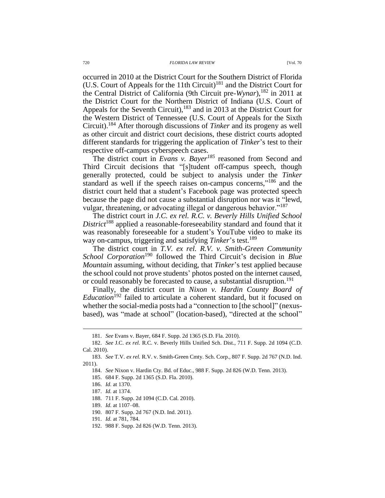occurred in 2010 at the District Court for the Southern District of Florida (U.S. Court of Appeals for the 11th Circuit)<sup>181</sup> and the District Court for the Central District of California (9th Circuit pre-*Wynar*), <sup>182</sup> in 2011 at the District Court for the Northern District of Indiana (U.S. Court of Appeals for the Seventh Circuit), <sup>183</sup> and in 2013 at the District Court for the Western District of Tennessee (U.S. Court of Appeals for the Sixth Circuit).<sup>184</sup> After thorough discussions of *Tinker* and its progeny as well as other circuit and district court decisions, these district courts adopted different standards for triggering the application of *Tinker*'s test to their respective off-campus cyberspeech cases.

The district court in *Evans v. Bayer<sup>185</sup>* reasoned from Second and Third Circuit decisions that "[s]tudent off-campus speech, though generally protected, could be subject to analysis under the *Tinker*  standard as well if the speech raises on-campus concerns,"<sup>186</sup> and the district court held that a student's Facebook page was protected speech because the page did not cause a substantial disruption nor was it "lewd, vulgar, threatening, or advocating illegal or dangerous behavior."<sup>187</sup>

The district court in *J.C. ex rel. R.C. v. Beverly Hills Unified School District*<sup>188</sup> applied a reasonable-foreseeability standard and found that it was reasonably foreseeable for a student's YouTube video to make its way on-campus, triggering and satisfying *Tinker*'s test. 189

The district court in *T.V. ex rel. R.V. v. Smith-Green Community School Corporation*<sup>190</sup> followed the Third Circuit's decision in *Blue Mountain* assuming, without deciding, that *Tinker*'s test applied because the school could not prove students' photos posted on the internet caused, or could reasonably be forecasted to cause, a substantial disruption.<sup>191</sup>

Finally, the district court in *Nixon v. Hardin County Board of Education*<sup>192</sup> failed to articulate a coherent standard, but it focused on whether the social-media posts had a "connection to [the school]" (nexusbased), was "made at school" (location-based), "directed at the school"

<sup>181.</sup> *See* Evans v. Bayer, 684 F. Supp. 2d 1365 (S.D. Fla. 2010).

<sup>182.</sup> *See* J.C. *ex rel.* R.C. v. Beverly Hills Unified Sch. Dist., 711 F. Supp. 2d 1094 (C.D. Cal. 2010).

<sup>183.</sup> *See* T.V. *ex rel.* R.V. v. Smith-Green Cmty. Sch. Corp., 807 F. Supp. 2d 767 (N.D. Ind. 2011).

<sup>184.</sup> *See* Nixon v. Hardin Cty. Bd. of Educ., 988 F. Supp. 2d 826 (W.D. Tenn. 2013).

<sup>185.</sup> 684 F. Supp. 2d 1365 (S.D. Fla. 2010).

<sup>186.</sup> *Id.* at 1370.

<sup>187.</sup> *Id.* at 1374.

<sup>188.</sup> 711 F. Supp. 2d 1094 (C.D. Cal. 2010).

<sup>189.</sup> *Id.* at 1107–08.

<sup>190.</sup> 807 F. Supp. 2d 767 (N.D. Ind. 2011).

<sup>191.</sup> *Id.* at 781, 784.

<sup>192.</sup> 988 F. Supp. 2d 826 (W.D. Tenn. 2013).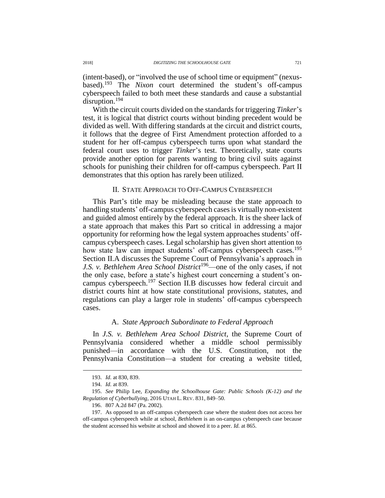(intent-based), or "involved the use of school time or equipment" (nexusbased).<sup>193</sup> The *Nixon* court determined the student's off-campus cyberspeech failed to both meet these standards and cause a substantial disruption.<sup>194</sup>

With the circuit courts divided on the standards for triggering *Tinker*'s test, it is logical that district courts without binding precedent would be divided as well. With differing standards at the circuit and district courts, it follows that the degree of First Amendment protection afforded to a student for her off-campus cyberspeech turns upon what standard the federal court uses to trigger *Tinker*'s test. Theoretically, state courts provide another option for parents wanting to bring civil suits against schools for punishing their children for off-campus cyberspeech. Part II demonstrates that this option has rarely been utilized.

### <span id="page-26-0"></span>II. STATE APPROACH TO OFF-CAMPUS CYBERSPEECH

This Part's title may be misleading because the state approach to handling students' off-campus cyberspeech cases is virtually non-existent and guided almost entirely by the federal approach. It is the sheer lack of a state approach that makes this Part so critical in addressing a major opportunity for reforming how the legal system approaches students' offcampus cyberspeech cases. Legal scholarship has given short attention to how state law can impact students' off-campus cyberspeech cases.<sup>195</sup> Section II.A discusses the Supreme Court of Pennsylvania's approach in *J.S. v. Bethlehem Area School District*<sup>196</sup>—one of the only cases, if not the only case, before a state's highest court concerning a student's oncampus cyberspeech. <sup>197</sup> Section II.B discusses how federal circuit and district courts hint at how state constitutional provisions, statutes, and regulations can play a larger role in students' off-campus cyberspeech cases.

# A. *State Approach Subordinate to Federal Approach*

In *J.S. v. Bethlehem Area School District*, the Supreme Court of Pennsylvania considered whether a middle school permissibly punished—in accordance with the U.S. Constitution, not the Pennsylvania Constitution—a student for creating a website titled,

<sup>193.</sup> *Id.* at 830, 839.

<sup>194.</sup> *Id.* at 839.

<sup>195.</sup> *See* Philip Lee, *Expanding the Schoolhouse Gate: Public Schools (K-12) and the Regulation of Cyberbullying*, 2016 UTAH L. REV. 831, 849–50.

<sup>196.</sup> 807 A.2d 847 (Pa. 2002).

<sup>197.</sup> As opposed to an off-campus cyberspeech case where the student does not access her off-campus cyberspeech while at school, *Bethlehem* is an on-campus cyberspeech case because the student accessed his website at school and showed it to a peer. *Id.* at 865.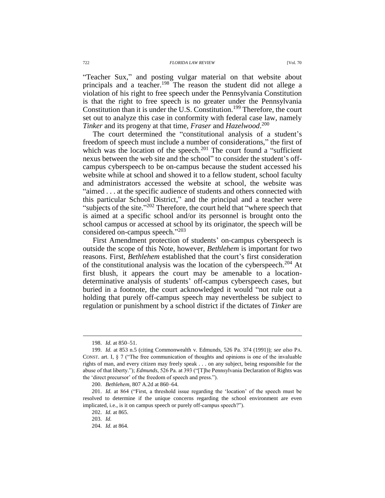"Teacher Sux," and posting vulgar material on that website about principals and a teacher.<sup>198</sup> The reason the student did not allege a violation of his right to free speech under the Pennsylvania Constitution is that the right to free speech is no greater under the Pennsylvania Constitution than it is under the U.S. Constitution.<sup>199</sup> Therefore, the court set out to analyze this case in conformity with federal case law, namely *Tinker* and its progeny at that time, *Fraser* and *Hazelwood*. 200

The court determined the "constitutional analysis of a student's freedom of speech must include a number of considerations," the first of which was the location of the speech.<sup>201</sup> The court found a "sufficient" nexus between the web site and the school" to consider the student's offcampus cyberspeech to be on-campus because the student accessed his website while at school and showed it to a fellow student, school faculty and administrators accessed the website at school, the website was "aimed . . . at the specific audience of students and others connected with this particular School District," and the principal and a teacher were "subjects of the site."<sup>202</sup> Therefore, the court held that "where speech that is aimed at a specific school and/or its personnel is brought onto the school campus or accessed at school by its originator, the speech will be considered on-campus speech." 203

First Amendment protection of students' on-campus cyberspeech is outside the scope of this Note, however, *Bethlehem* is important for two reasons. First, *Bethlehem* established that the court's first consideration of the constitutional analysis was the location of the cyberspeech.<sup>204</sup> At first blush, it appears the court may be amenable to a locationdeterminative analysis of students' off-campus cyberspeech cases, but buried in a footnote, the court acknowledged it would "not rule out a holding that purely off-campus speech may nevertheless be subject to regulation or punishment by a school district if the dictates of *Tinker* are

<sup>198.</sup> *Id.* at 850–51.

<sup>199.</sup> *Id.* at 853 n.5 (citing Commonwealth v. Edmunds, 526 Pa. 374 (1991)); *see also* PA. CONST. art. I, § 7 ("The free communication of thoughts and opinions is one of the invaluable rights of man, and every citizen may freely speak . . . on any subject, being responsible for the abuse of that liberty."); *Edmunds*, 526 Pa. at 393 ("[T]he Pennsylvania Declaration of Rights was the 'direct precursor' of the freedom of speech and press.").

<sup>200.</sup> *Bethlehem*, 807 A.2d at 860–64.

<sup>201.</sup> *Id.* at 864 ("First, a threshold issue regarding the 'location' of the speech must be resolved to determine if the unique concerns regarding the school environment are even implicated, i.e., is it on campus speech or purely off-campus speech?").

<sup>202.</sup> *Id.* at 865.

<sup>203.</sup> *Id.*

<sup>204.</sup> *Id.* at 864.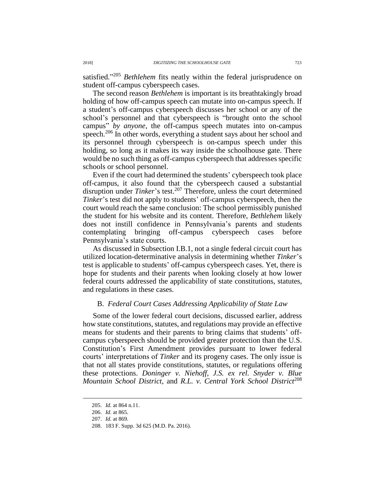satisfied."<sup>205</sup> *Bethlehem* fits neatly within the federal jurisprudence on student off-campus cyberspeech cases.

The second reason *Bethlehem* is important is its breathtakingly broad holding of how off-campus speech can mutate into on-campus speech. If a student's off-campus cyberspeech discusses her school or any of the school's personnel and that cyberspeech is "brought onto the school campus" *by anyone*, the off-campus speech mutates into on-campus speech.<sup>206</sup> In other words, everything a student says about her school and its personnel through cyberspeech is on-campus speech under this holding, so long as it makes its way inside the schoolhouse gate. There would be no such thing as off-campus cyberspeech that addresses specific schools or school personnel.

Even if the court had determined the students' cyberspeech took place off-campus, it also found that the cyberspeech caused a substantial disruption under *Tinker's* test.<sup>207</sup> Therefore, unless the court determined *Tinker*'s test did not apply to students' off-campus cyberspeech, then the court would reach the same conclusion: The school permissibly punished the student for his website and its content. Therefore, *Bethlehem* likely does not instill confidence in Pennsylvania's parents and students contemplating bringing off-campus cyberspeech cases before Pennsylvania's state courts.

As discussed in Subsection I.B.1, not a single federal circuit court has utilized location-determinative analysis in determining whether *Tinker*'s test is applicable to students' off-campus cyberspeech cases. Yet, there is hope for students and their parents when looking closely at how lower federal courts addressed the applicability of state constitutions, statutes, and regulations in these cases.

### B. *Federal Court Cases Addressing Applicability of State Law*

Some of the lower federal court decisions, discussed earlier, address how state constitutions, statutes, and regulations may provide an effective means for students and their parents to bring claims that students' offcampus cyberspeech should be provided greater protection than the U.S. Constitution's First Amendment provides pursuant to lower federal courts' interpretations of *Tinker* and its progeny cases. The only issue is that not all states provide constitutions, statutes, or regulations offering these protections. *Doninger v. Niehoff*, *J.S. ex rel. Snyder v. Blue Mountain School District*, and *R.L. v. Central York School District*<sup>208</sup>

<sup>205.</sup> *Id.* at 864 n.11.

<sup>206.</sup> *Id.* at 865.

<sup>207.</sup> *Id.* at 869.

<sup>208.</sup> 183 F. Supp. 3d 625 (M.D. Pa. 2016).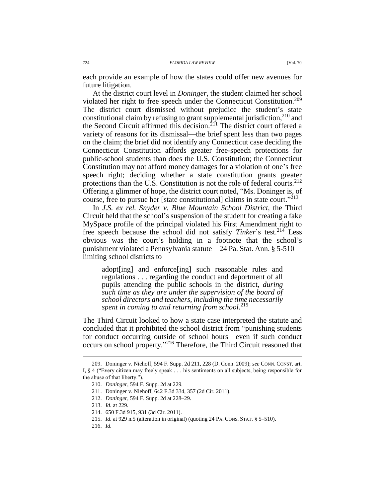each provide an example of how the states could offer new avenues for future litigation.

At the district court level in *Doninger*, the student claimed her school violated her right to free speech under the Connecticut Constitution.<sup>209</sup> The district court dismissed without prejudice the student's state constitutional claim by refusing to grant supplemental jurisdiction,<sup>210</sup> and the Second Circuit affirmed this decision.<sup> $2f1$ </sup> The district court offered a variety of reasons for its dismissal—the brief spent less than two pages on the claim; the brief did not identify any Connecticut case deciding the Connecticut Constitution affords greater free-speech protections for public-school students than does the U.S. Constitution; the Connecticut Constitution may not afford money damages for a violation of one's free speech right; deciding whether a state constitution grants greater protections than the U.S. Constitution is not the role of federal courts.<sup>212</sup> Offering a glimmer of hope, the district court noted, "Ms. Doninger is, of course, free to pursue her [state constitutional] claims in state court." 213

In *J.S. ex rel. Snyder v. Blue Mountain School District*, the Third Circuit held that the school's suspension of the student for creating a fake MySpace profile of the principal violated his First Amendment right to free speech because the school did not satisfy *Tinker*'s test.<sup>214</sup> Less obvious was the court's holding in a footnote that the school's punishment violated a Pennsylvania statute—24 Pa. Stat. Ann. § 5-510 limiting school districts to

adopt[ing] and enforce[ing] such reasonable rules and regulations . . . regarding the conduct and deportment of all pupils attending the public schools in the district, *during such time as they are under the supervision of the board of school directors and teachers, including the time necessarily spent in coming to and returning from school.*<sup>215</sup>

The Third Circuit looked to how a state case interpreted the statute and concluded that it prohibited the school district from "punishing students for conduct occurring outside of school hours—even if such conduct occurs on school property." <sup>216</sup> Therefore, the Third Circuit reasoned that

216. *Id.*

<sup>209.</sup> Doninger v. Niehoff, 594 F. Supp. 2d 211, 228 (D. Conn. 2009); *see* CONN. CONST. art. I, § 4 ("Every citizen may freely speak . . . his sentiments on all subjects, being responsible for the abuse of that liberty.").

<sup>210.</sup> *Doninger*, 594 F. Supp. 2d at 229.

<sup>211.</sup> Doninger v. Niehoff, 642 F.3d 334, 357 (2d Cir. 2011).

<sup>212.</sup> *Doninger*, 594 F. Supp. 2d at 228–29.

<sup>213.</sup> *Id.* at 229.

<sup>214.</sup> 650 F.3d 915, 931 (3d Cir. 2011).

<sup>215.</sup> *Id.* at 929 n.5 (alteration in original) (quoting 24 PA. CONS. STAT. § 5–510).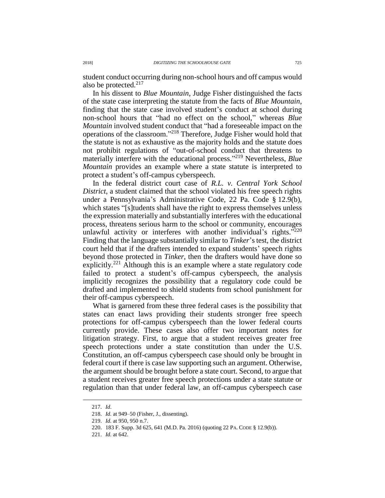student conduct occurring during non-school hours and off campus would also be protected.<sup>217</sup>

In his dissent to *Blue Mountain*, Judge Fisher distinguished the facts of the state case interpreting the statute from the facts of *Blue Mountain*, finding that the state case involved student's conduct at school during non-school hours that "had no effect on the school," whereas *Blue Mountain* involved student conduct that "had a foreseeable impact on the operations of the classroom." <sup>218</sup> Therefore, Judge Fisher would hold that the statute is not as exhaustive as the majority holds and the statute does not prohibit regulations of "out-of-school conduct that threatens to materially interfere with the educational process." <sup>219</sup> Nevertheless, *Blue Mountain* provides an example where a state statute is interpreted to protect a student's off-campus cyberspeech.

In the federal district court case of *R.L. v. Central York School District*, a student claimed that the school violated his free speech rights under a Pennsylvania's Administrative Code, 22 Pa. Code § 12.9(b), which states "[s]tudents shall have the right to express themselves unless the expression materially and substantially interferes with the educational process, threatens serious harm to the school or community, encourages unlawful activity or interferes with another individual's rights. $^{3220}$ Finding that the language substantially similar to *Tinker*'s test, the district court held that if the drafters intended to expand students' speech rights beyond those protected in *Tinker*, then the drafters would have done so explicitly.<sup>221</sup> Although this is an example where a state regulatory code failed to protect a student's off-campus cyberspeech, the analysis implicitly recognizes the possibility that a regulatory code could be drafted and implemented to shield students from school punishment for their off-campus cyberspeech.

What is garnered from these three federal cases is the possibility that states can enact laws providing their students stronger free speech protections for off-campus cyberspeech than the lower federal courts currently provide. These cases also offer two important notes for litigation strategy. First, to argue that a student receives greater free speech protections under a state constitution than under the U.S. Constitution, an off-campus cyberspeech case should only be brought in federal court if there is case law supporting such an argument. Otherwise, the argument should be brought before a state court. Second, to argue that a student receives greater free speech protections under a state statute or regulation than that under federal law, an off-campus cyberspeech case

<sup>217.</sup> *Id*.

<sup>218.</sup> *Id.* at 949–50 (Fisher, J., dissenting).

<sup>219.</sup> *Id.* at 950, 950 n.7.

<sup>220.</sup> 183 F. Supp. 3d 625, 641 (M.D. Pa. 2016) (quoting 22 PA. CODE § 12.9(b)).

<sup>221.</sup> *Id.* at 642.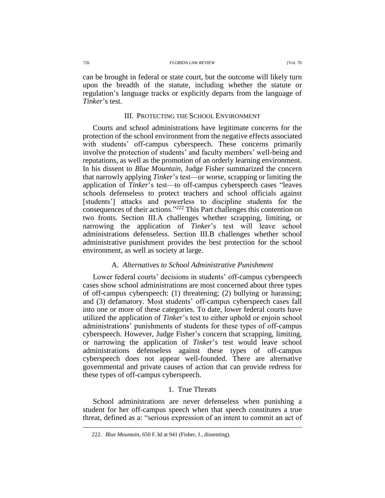can be brought in federal or state court, but the outcome will likely turn upon the breadth of the statute, including whether the statute or regulation's language tracks or explicitly departs from the language of *Tinker*'s test.

### III. PROTECTING THE SCHOOL ENVIRONMENT

Courts and school administrations have legitimate concerns for the protection of the school environment from the negative effects associated with students' off-campus cyberspeech. These concerns primarily involve the protection of students' and faculty members' well-being and reputations, as well as the promotion of an orderly learning environment. In his dissent to *Blue Mountain*, Judge Fisher summarized the concern that narrowly applying *Tinker*'s test—or worse, scrapping or limiting the application of *Tinker*'s test—to off-campus cyberspeech cases "leaves schools defenseless to protect teachers and school officials against [students'] attacks and powerless to discipline students for the consequences of their actions."<sup>222</sup> This Part challenges this contention on two fronts. Section III.A challenges whether scrapping, limiting, or narrowing the application of *Tinker*'s test will leave school administrations defenseless. Section III.B challenges whether school administrative punishment provides the best protection for the school environment, as well as society at large.

# A. *Alternatives to School Administrative Punishment*

Lower federal courts' decisions in students' off-campus cyberspeech cases show school administrations are most concerned about three types of off-campus cyberspeech: (1) threatening; (2) bullying or harassing; and (3) defamatory. Most students' off-campus cyberspeech cases fall into one or more of these categories. To date, lower federal courts have utilized the application of *Tinker*'s test to either uphold or enjoin school administrations' punishments of students for these types of off-campus cyberspeech. However, Judge Fisher's concern that scrapping, limiting, or narrowing the application of *Tinker*'s test would leave school administrations defenseless against these types of off-campus cyberspeech does not appear well-founded. There are alternative governmental and private causes of action that can provide redress for these types of off-campus cyberspeech.

# 1. True Threats

School administrations are never defenseless when punishing a student for her off-campus speech when that speech constitutes a true threat, defined as a: "serious expression of an intent to commit an act of

<sup>222.</sup> *Blue Mountain*, 650 F.3d at 941 (Fisher, J., dissenting).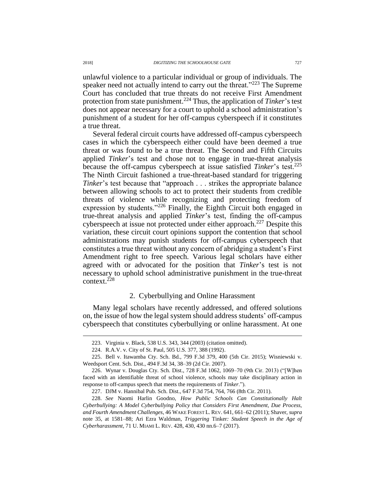unlawful violence to a particular individual or group of individuals. The speaker need not actually intend to carry out the threat."<sup>223</sup> The Supreme Court has concluded that true threats do not receive First Amendment protection from state punishment. <sup>224</sup> Thus, the application of *Tinker*'s test does not appear necessary for a court to uphold a school administration's punishment of a student for her off-campus cyberspeech if it constitutes a true threat.

Several federal circuit courts have addressed off-campus cyberspeech cases in which the cyberspeech either could have been deemed a true threat or was found to be a true threat. The Second and Fifth Circuits applied *Tinker*'s test and chose not to engage in true-threat analysis because the off-campus cyberspeech at issue satisfied *Tinker*'s test.<sup>225</sup> The Ninth Circuit fashioned a true-threat-based standard for triggering *Tinker*'s test because that "approach . . . strikes the appropriate balance between allowing schools to act to protect their students from credible threats of violence while recognizing and protecting freedom of expression by students."<sup>226</sup> Finally, the Eighth Circuit both engaged in true-threat analysis and applied *Tinker*'s test, finding the off-campus cyberspeech at issue not protected under either approach.<sup>227</sup> Despite this variation, these circuit court opinions support the contention that school administrations may punish students for off-campus cyberspeech that constitutes a true threat without any concern of abridging a student's First Amendment right to free speech. Various legal scholars have either agreed with or advocated for the position that *Tinker*'s test is not necessary to uphold school administrative punishment in the true-threat context.<sup>228</sup>

## <span id="page-32-0"></span>2. Cyberbullying and Online Harassment

Many legal scholars have recently addressed, and offered solutions on, the issue of how the legal system should address students' off-campus cyberspeech that constitutes cyberbullying or online harassment. At one

<sup>223.</sup> Virginia v. Black, 538 U.S. 343, 344 (2003) (citation omitted).

<sup>224.</sup> R.A.V. v. City of St. Paul, 505 U.S. 377, 388 (1992).

<sup>225.</sup> Bell v. Itawamba Cty. Sch. Bd., 799 F.3d 379, 400 (5th Cir. 2015); Wisniewski v. Weedsport Cent. Sch. Dist., 494 F.3d 34, 38–39 (2d Cir. 2007).

<sup>226.</sup> Wynar v. Douglas Cty. Sch. Dist., 728 F.3d 1062, 1069–70 (9th Cir. 2013) ("[W]hen faced with an identifiable threat of school violence, schools may take disciplinary action in response to off-campus speech that meets the requirements of *Tinker*.").

<sup>227.</sup> DJM v. Hannibal Pub. Sch. Dist., 647 F.3d 754, 764, 766 (8th Cir. 2011).

<sup>228.</sup> *See* Naomi Harlin Goodno, *How Public Schools Can Constitutionally Halt Cyberbullying: A Model Cyberbullying Policy that Considers First Amendment, Due Process, and Fourth Amendment Challenges*, 46 WAKE FOREST L. REV. 641, 661–62 (2011); Shaver, *supra*  note [35,](#page-5-0) at 1581–88; Ari Ezra Waldman, *Triggering* Tinker*: Student Speech in the Age of Cyberharassment*, 71 U. MIAMI L. REV. 428, 430, 430 nn.6–7 (2017).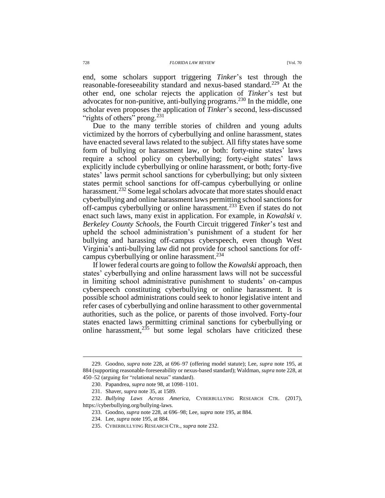end, some scholars support triggering *Tinker*'s test through the reasonable-foreseeability standard and nexus-based standard.<sup>229</sup> At the other end, one scholar rejects the application of *Tinker*'s test but advocates for non-punitive, anti-bullying programs.<sup>230</sup> In the middle, one scholar even proposes the application of *Tinker*'s second, less-discussed "rights of others" prong.<sup>231</sup>

<span id="page-33-0"></span>Due to the many terrible stories of children and young adults victimized by the horrors of cyberbullying and online harassment, states have enacted several laws related to the subject. All fifty states have some form of bullying or harassment law, or both: forty-nine states' laws require a school policy on cyberbullying; forty-eight states' laws explicitly include cyberbullying or online harassment, or both; forty-five states' laws permit school sanctions for cyberbullying; but only sixteen states permit school sanctions for off-campus cyberbullying or online harassment.<sup>232</sup> Some legal scholars advocate that more states should enact cyberbullying and online harassment laws permitting school sanctions for off-campus cyberbullying or online harassment.<sup>233</sup> Even if states do not enact such laws, many exist in application. For example, in *Kowalski v. Berkeley County Schools*, the Fourth Circuit triggered *Tinker*'s test and upheld the school administration's punishment of a student for her bullying and harassing off-campus cyberspeech, even though West Virginia's anti-bullying law did not provide for school sanctions for offcampus cyberbullying or online harassment.<sup>234</sup>

If lower federal courts are going to follow the *Kowalski* approach, then states' cyberbullying and online harassment laws will not be successful in limiting school administrative punishment to students' on-campus cyberspeech constituting cyberbullying or online harassment. It is possible school administrations could seek to honor legislative intent and refer cases of cyberbullying and online harassment to other governmental authorities, such as the police, or parents of those involved. Forty-four states enacted laws permitting criminal sanctions for cyberbullying or online harassment, $2^{35}$  but some legal scholars have criticized these

<sup>229.</sup> Goodno, *supra* note [228,](#page-32-0) at 696–97 (offering model statute); Lee, *supra* note [195,](#page-26-0) at 884 (supporting reasonable-foreseeability or nexus-based standard); Waldman, *supra* note [228,](#page-32-0) at 450–52 (arguing for "relational nexus" standard).

<sup>230.</sup> Papandrea, *supra* note [98,](#page-14-0) at 1098–1101.

<sup>231.</sup> Shaver, *supra* not[e 35,](#page-5-0) at 1589.

<sup>232.</sup> *Bullying Laws Across America*, CYBERBULLYING RESEARCH CTR. (2017), https://cyberbullying.org/bullying-laws.

<sup>233.</sup> Goodno, *supra* not[e 228,](#page-32-0) at 696–98; Lee, *supra* note [195,](#page-26-0) at 884.

<sup>234.</sup> Lee, *supra* not[e 195,](#page-26-0) at 884.

<sup>235.</sup> CYBERBULLYING RESEARCH CTR., *supra* note [232.](#page-33-0)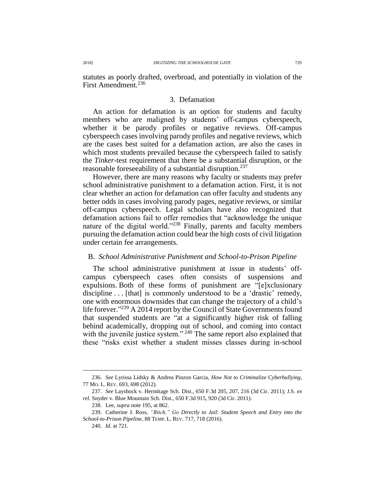statutes as poorly drafted, overbroad, and potentially in violation of the First Amendment.<sup>236</sup>

### <span id="page-34-0"></span>3. Defamation

An action for defamation is an option for students and faculty members who are maligned by students' off-campus cyberspeech, whether it be parody profiles or negative reviews. Off-campus cyberspeech cases involving parody profiles and negative reviews, which are the cases best suited for a defamation action, are also the cases in which most students prevailed because the cyberspeech failed to satisfy the *Tinker*-test requirement that there be a substantial disruption, or the reasonable foreseeability of a substantial disruption.<sup>237</sup>

However, there are many reasons why faculty or students may prefer school administrative punishment to a defamation action. First, it is not clear whether an action for defamation can offer faculty and students any better odds in cases involving parody pages, negative reviews, or similar off-campus cyberspeech. Legal scholars have also recognized that defamation actions fail to offer remedies that "acknowledge the unique nature of the digital world."<sup>238</sup> Finally, parents and faculty members pursuing the defamation action could bear the high costs of civil litigation under certain fee arrangements.

### B. *School Administrative Punishment and School-to-Prison Pipeline*

The school administrative punishment at issue in students' offcampus cyberspeech cases often consists of suspensions and expulsions. Both of these forms of punishment are "[e]xclusionary discipline . . . [that] is commonly understood to be a 'drastic' remedy, one with enormous downsides that can change the trajectory of a child's life forever."<sup>239</sup> A 2014 report by the Council of State Governments found that suspended students are "at a significantly higher risk of falling behind academically, dropping out of school, and coming into contact with the juvenile justice system." <sup>240</sup> The same report also explained that these "risks exist whether a student misses classes during in-school

<sup>236.</sup> *See* Lyrissa Lidsky & Andrea Pinzon Garcia, *How Not to Criminalize Cyberbullying*, 77 MO. L. REV. 693, 698 (2012).

<sup>237.</sup> *See* Layshock v. Hermitage Sch. Dist., 650 F.3d 205, 207, 216 (3d Cir. 2011); J.S. *ex rel.* Snyder v. Blue Mountain Sch. Dist., 650 F.3d 915, 920 (3d Cir. 2011).

<sup>238.</sup> Lee, *supra* not[e 195,](#page-26-0) at 862.

<sup>239.</sup> Catherine J. Ross, *"Bitch," Go Directly to Jail: Student Speech and Entry into the School-to-Prison Pipeline*, 88 TEMP. L. REV. 717, 718 (2016).

<sup>240.</sup> *Id.* at 721.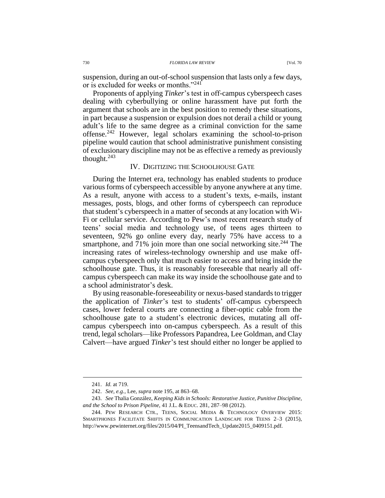suspension, during an out-of-school suspension that lasts only a few days, or is excluded for weeks or months."<sup>241</sup>

Proponents of applying *Tinker*'s test in off-campus cyberspeech cases dealing with cyberbullying or online harassment have put forth the argument that schools are in the best position to remedy these situations, in part because a suspension or expulsion does not derail a child or young adult's life to the same degree as a criminal conviction for the same offense.<sup>242</sup> However, legal scholars examining the school-to-prison pipeline would caution that school administrative punishment consisting of exclusionary discipline may not be as effective a remedy as previously thought. $243$ 

# IV. DIGITIZING THE SCHOOLHOUSE GATE

During the Internet era, technology has enabled students to produce various forms of cyberspeech accessible by anyone anywhere at any time. As a result, anyone with access to a student's texts, e-mails, instant messages, posts, blogs, and other forms of cyberspeech can reproduce that student's cyberspeech in a matter of seconds at any location with Wi-Fi or cellular service. According to Pew's most recent research study of teens' social media and technology use, of teens ages thirteen to seventeen, 92% go online every day, nearly 75% have access to a smartphone, and 71% join more than one social networking site.<sup>244</sup> The increasing rates of wireless-technology ownership and use make offcampus cyberspeech only that much easier to access and bring inside the schoolhouse gate. Thus, it is reasonably foreseeable that nearly all offcampus cyberspeech can make its way inside the schoolhouse gate and to a school administrator's desk.

By using reasonable-foreseeability or nexus-based standards to trigger the application of *Tinker*'s test to students' off-campus cyberspeech cases, lower federal courts are connecting a fiber-optic cable from the schoolhouse gate to a student's electronic devices, mutating all offcampus cyberspeech into on-campus cyberspeech. As a result of this trend, legal scholars—like Professors Papandrea, Lee Goldman, and Clay Calvert—have argued *Tinker*'s test should either no longer be applied to

<sup>241.</sup> *Id.* at 719.

<sup>242.</sup> *See, e.g.*, Lee, *supra* not[e 195,](#page-26-0) at 863–68.

<sup>243.</sup> *See* Thalia González, *Keeping Kids in Schools: Restorative Justice, Punitive Discipline, and the School to Prison Pipeline*, 41 J.L. & EDUC. 281, 287–98 (2012).

<sup>244.</sup> PEW RESEARCH CTR., TEENS, SOCIAL MEDIA & TECHNOLOGY OVERVIEW 2015: SMARTPHONES FACILITATE SHIFTS IN COMMUNICATION LANDSCAPE FOR TEENS 2–3 (2015), http://www.pewinternet.org/files/2015/04/PI\_TeensandTech\_Update2015\_0409151.pdf.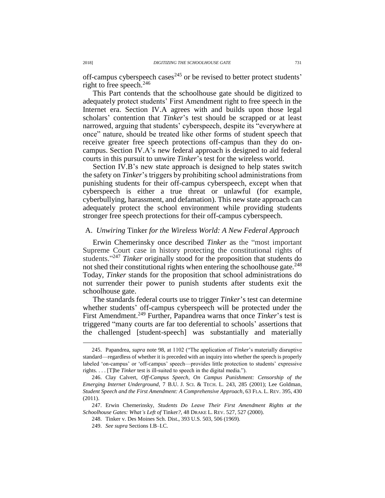off-campus cyberspeech cases<sup> $245$ </sup> or be revised to better protect students' right to free speech.<sup>246</sup>

<span id="page-36-0"></span>This Part contends that the schoolhouse gate should be digitized to adequately protect students' First Amendment right to free speech in the Internet era. Section IV.A agrees with and builds upon those legal scholars' contention that *Tinker*'s test should be scrapped or at least narrowed, arguing that students' cyberspeech, despite its "everywhere at once" nature, should be treated like other forms of student speech that receive greater free speech protections off-campus than they do oncampus. Section IV.A's new federal approach is designed to aid federal courts in this pursuit to unwire *Tinker*'s test for the wireless world.

Section IV.B's new state approach is designed to help states switch the safety on *Tinker*'s triggers by prohibiting school administrations from punishing students for their off-campus cyberspeech, except when that cyberspeech is either a true threat or unlawful (for example, cyberbullying, harassment, and defamation). This new state approach can adequately protect the school environment while providing students stronger free speech protections for their off-campus cyberspeech.

### A. *Unwiring* Tinker *for the Wireless World: A New Federal Approach*

Erwin Chemerinsky once described *Tinker* as the "most important Supreme Court case in history protecting the constitutional rights of students." <sup>247</sup> *Tinker* originally stood for the proposition that students do not shed their constitutional rights when entering the schoolhouse gate.<sup>248</sup> Today, *Tinker* stands for the proposition that school administrations do not surrender their power to punish students after students exit the schoolhouse gate.

The standards federal courts use to trigger *Tinker*'s test can determine whether students' off-campus cyberspeech will be protected under the First Amendment.<sup>249</sup> Further, Papandrea warns that once *Tinker's* test is triggered "many courts are far too deferential to schools' assertions that the challenged [student-speech] was substantially and materially

<sup>245.</sup> Papandrea, *supra* note [98,](#page-14-0) at 1102 ("The application of *Tinker*'s materially disruptive standard—regardless of whether it is preceded with an inquiry into whether the speech is properly labeled 'on-campus' or 'off-campus' speech—provides little protection to students' expressive rights. . . . [T]he *Tinker* test is ill-suited to speech in the digital media.").

<sup>246.</sup> Clay Calvert, *Off-Campus Speech, On Campus Punishment: Censorship of the Emerging Internet Underground*, 7 B.U. J. SCI. & TECH. L. 243, 285 (2001); Lee Goldman, *Student Speech and the First Amendment: A Comprehensive Approach*, 63 FLA. L. REV. 395, 430 (2011).

<sup>247.</sup> Erwin Chemerinsky, *Students Do Leave Their First Amendment Rights at the Schoolhouse Gates: What's Left of* Tinker*?*, 48 DRAKE L. REV. 527, 527 (2000).

<sup>248.</sup> Tinker v. Des Moines Sch. Dist., 393 U.S. 503, 506 (1969).

<sup>249.</sup> *See supra* Sections I.B–I.C.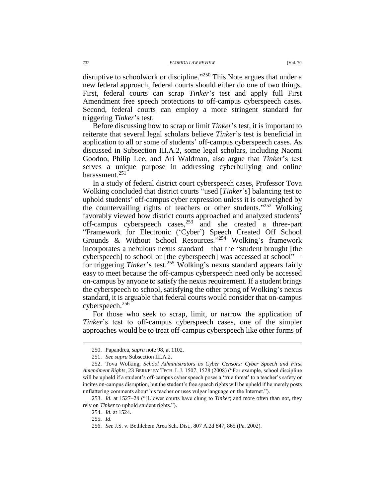disruptive to schoolwork or discipline."<sup>250</sup> This Note argues that under a new federal approach, federal courts should either do one of two things. First, federal courts can scrap *Tinker*'s test and apply full First Amendment free speech protections to off-campus cyberspeech cases. Second, federal courts can employ a more stringent standard for triggering *Tinker*'s test.

Before discussing how to scrap or limit *Tinker*'s test, it is important to reiterate that several legal scholars believe *Tinker*'s test is beneficial in application to all or some of students' off-campus cyberspeech cases. As discussed in Subsection III.A.2, some legal scholars, including Naomi Goodno, Philip Lee, and Ari Waldman, also argue that *Tinker*'s test serves a unique purpose in addressing cyberbullying and online harassment.<sup>251</sup>

In a study of federal district court cyberspeech cases, Professor Tova Wolking concluded that district courts "used [*Tinker*'s] balancing test to uphold students' off-campus cyber expression unless it is outweighed by the countervailing rights of teachers or other students."252 Wolking favorably viewed how district courts approached and analyzed students' off-campus cyberspeech cases, $253$  and she created a three-part "Framework for Electronic ('Cyber') Speech Created Off School Grounds & Without School Resources."<sup>254</sup> Wolking's framework incorporates a nebulous nexus standard—that the "student brought [the cyberspeech] to school or [the cyberspeech] was accessed at school" for triggering *Tinker*'s test.<sup>255</sup> Wolking's nexus standard appears fairly easy to meet because the off-campus cyberspeech need only be accessed on-campus by anyone to satisfy the nexus requirement. If a student brings the cyberspeech to school, satisfying the other prong of Wolking's nexus standard, it is arguable that federal courts would consider that on-campus cyberspeech. 256

For those who seek to scrap, limit, or narrow the application of *Tinker*'s test to off-campus cyberspeech cases, one of the simpler approaches would be to treat off-campus cyberspeech like other forms of

253. *Id.* at 1527–28 ("[L]ower courts have clung to *Tinker*; and more often than not, they rely on *Tinker* to uphold student rights.").

<sup>250.</sup> Papandrea, *supra* note [98,](#page-14-0) at 1102.

<sup>251.</sup> *See supra* Subsection III.A.2.

<sup>252.</sup> Tova Wolking, *School Administrators as Cyber Censors: Cyber Speech and First Amendment Rights*, 23 BERKELEY TECH. L.J. 1507, 1528 (2008) ("For example, school discipline will be upheld if a student's off-campus cyber speech poses a 'true threat' to a teacher's safety or incites on-campus disruption, but the student's free speech rights will be upheld if he merely posts unflattering comments about his teacher or uses vulgar language on the Internet.").

<sup>254.</sup> *Id.* at 1524.

<sup>255.</sup> *Id.*

<sup>256.</sup> *See* J.S. v. Bethlehem Area Sch. Dist., 807 A.2d 847, 865 (Pa. 2002).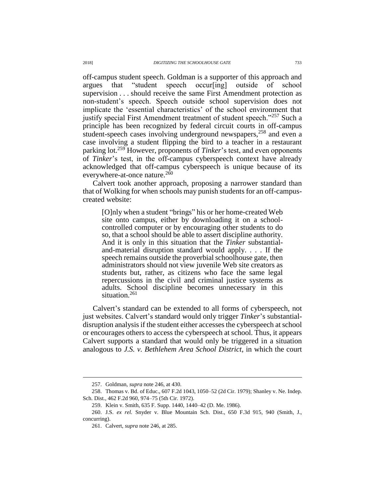off-campus student speech. Goldman is a supporter of this approach and argues that "student speech occur[ing] outside of school supervision . . . should receive the same First Amendment protection as non-student's speech. Speech outside school supervision does not implicate the 'essential characteristics' of the school environment that justify special First Amendment treatment of student speech."<sup>257</sup> Such a principle has been recognized by federal circuit courts in off-campus student-speech cases involving underground newspapers,<sup>258</sup> and even a case involving a student flipping the bird to a teacher in a restaurant parking lot.<sup>259</sup> However, proponents of *Tinker*'s test, and even opponents of *Tinker*'s test, in the off-campus cyberspeech context have already acknowledged that off-campus cyberspeech is unique because of its everywhere-at-once nature.<sup>260</sup>

Calvert took another approach, proposing a narrower standard than that of Wolking for when schools may punish students for an off-campuscreated website:

[O]nly when a student "brings" his or her home-created Web site onto campus, either by downloading it on a schoolcontrolled computer or by encouraging other students to do so, that a school should be able to assert discipline authority. And it is only in this situation that the *Tinker* substantialand-material disruption standard would apply. . . . If the speech remains outside the proverbial schoolhouse gate, then administrators should not view juvenile Web site creators as students but, rather, as citizens who face the same legal repercussions in the civil and criminal justice systems as adults. School discipline becomes unnecessary in this situation.<sup>261</sup>

Calvert's standard can be extended to all forms of cyberspeech, not just websites. Calvert's standard would only trigger *Tinker*'s substantialdisruption analysis if the student either accesses the cyberspeech at school or encourages others to access the cyberspeech at school. Thus, it appears Calvert supports a standard that would only be triggered in a situation analogous to *J.S. v. Bethlehem Area School District*, in which the court

<sup>257.</sup> Goldman, *supra* note [246,](#page-36-0) at 430.

<sup>258.</sup> Thomas v. Bd. of Educ., 607 F.2d 1043, 1050–52 (2d Cir. 1979); Shanley v. Ne. Indep. Sch. Dist., 462 F.2d 960, 974–75 (5th Cir. 1972).

<sup>259.</sup> Klein v. Smith, 635 F. Supp. 1440, 1440–42 (D. Me. 1986).

<sup>260.</sup> J.S. *ex rel.* Snyder v. Blue Mountain Sch. Dist., 650 F.3d 915, 940 (Smith, J., concurring).

<sup>261.</sup> Calvert, *supra* note [246,](#page-36-0) at 285.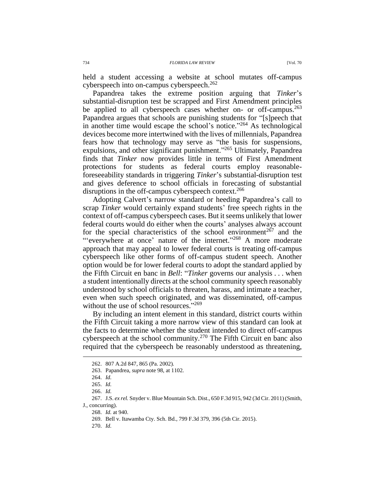held a student accessing a website at school mutates off-campus cyberspeech into on-campus cyberspeech. 262

Papandrea takes the extreme position arguing that *Tinker*'s substantial-disruption test be scrapped and First Amendment principles be applied to all cyberspeech cases whether on- or off-campus.<sup>263</sup> Papandrea argues that schools are punishing students for "[s]peech that in another time would escape the school's notice." <sup>264</sup> As technological devices become more intertwined with the lives of millennials, Papandrea fears how that technology may serve as "the basis for suspensions, expulsions, and other significant punishment."<sup>265</sup> Ultimately, Papandrea finds that *Tinker* now provides little in terms of First Amendment protections for students as federal courts employ reasonableforeseeability standards in triggering *Tinker*'s substantial-disruption test and gives deference to school officials in forecasting of substantial disruptions in the off-campus cyberspeech context.<sup>266</sup>

Adopting Calvert's narrow standard or heeding Papandrea's call to scrap *Tinker* would certainly expand students' free speech rights in the context of off-campus cyberspeech cases. But it seems unlikely that lower federal courts would do either when the courts' analyses always account for the special characteristics of the school environment<sup>267</sup> and the "'everywhere at once' nature of the internet."<sup>268</sup> A more moderate approach that may appeal to lower federal courts is treating off-campus cyberspeech like other forms of off-campus student speech. Another option would be for lower federal courts to adopt the standard applied by the Fifth Circuit en banc in *Bell*: "*Tinker* governs our analysis . . . when a student intentionally directs at the school community speech reasonably understood by school officials to threaten, harass, and intimate a teacher, even when such speech originated, and was disseminated, off-campus without the use of school resources."<sup>269</sup>

By including an intent element in this standard, district courts within the Fifth Circuit taking a more narrow view of this standard can look at the facts to determine whether the student intended to direct off-campus cyberspeech at the school community.<sup>270</sup> The Fifth Circuit en banc also required that the cyberspeech be reasonably understood as threatening,

 $\overline{a}$ 

270. *Id.*

<sup>262.</sup> 807 A.2d 847, 865 (Pa. 2002).

<sup>263.</sup> Papandrea, *supra* note [98,](#page-14-0) at 1102.

<sup>264.</sup> *Id.*

<sup>265.</sup> *Id.*

<sup>266.</sup> *Id.*

<sup>267.</sup> J.S. *ex rel.* Snyder v. Blue Mountain Sch. Dist., 650 F.3d 915, 942 (3d Cir. 2011) (Smith,

J., concurring).

<sup>268.</sup> *Id.* at 940.

<sup>269.</sup> Bell v. Itawamba Cty. Sch. Bd., 799 F.3d 379, 396 (5th Cir. 2015).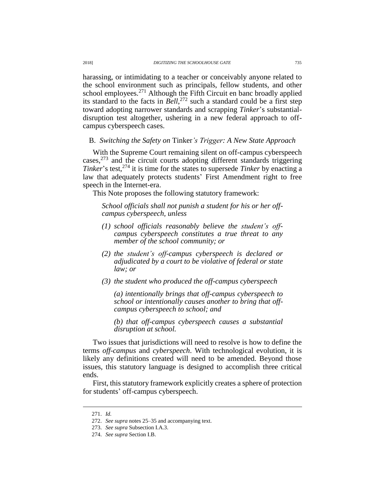harassing, or intimidating to a teacher or conceivably anyone related to the school environment such as principals, fellow students, and other school employees. $271$  Although the Fifth Circuit en banc broadly applied its standard to the facts in *Bell*, <sup>272</sup> such a standard could be a first step toward adopting narrower standards and scrapping *Tinker*'s substantialdisruption test altogether, ushering in a new federal approach to offcampus cyberspeech cases.

B. *Switching the Safety on* Tinker*'s Trigger: A New State Approach*

With the Supreme Court remaining silent on off-campus cyberspeech cases, <sup>273</sup> and the circuit courts adopting different standards triggering *Tinker*'s test,<sup>274</sup> it is time for the states to supersede *Tinker* by enacting a law that adequately protects students' First Amendment right to free speech in the Internet-era.

This Note proposes the following statutory framework:

*School officials shall not punish a student for his or her offcampus cyberspeech, unless*

- *(1) school officials reasonably believe the student's offcampus cyberspeech constitutes a true threat to any member of the school community; or*
- *(2) the student's off-campus cyberspeech is declared or adjudicated by a court to be violative of federal or state law; or*
- *(3) the student who produced the off-campus cyberspeech*

*(a) intentionally brings that off-campus cyberspeech to school or intentionally causes another to bring that offcampus cyberspeech to school; and* 

*(b) that off-campus cyberspeech causes a substantial disruption at school.*

Two issues that jurisdictions will need to resolve is how to define the terms *off-campus* and *cyberspeech*. With technological evolution, it is likely any definitions created will need to be amended. Beyond those issues, this statutory language is designed to accomplish three critical ends.

First, this statutory framework explicitly creates a sphere of protection for students' off-campus cyberspeech.

<sup>271.</sup> *Id.*

<sup>272.</sup> *See supra* note[s 25–](#page-4-0)[35](#page-5-0) and accompanying text.

<sup>273.</sup> *See supra* Subsection I.A.3.

<sup>274.</sup> *See supra* Section I.B.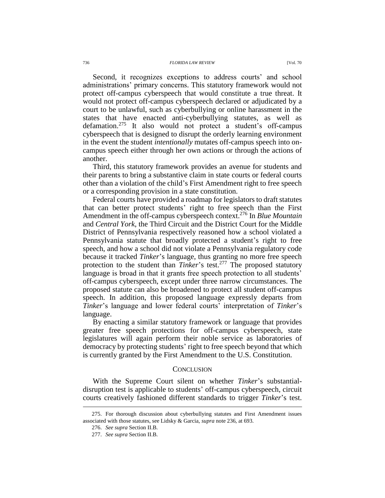Second, it recognizes exceptions to address courts' and school administrations' primary concerns. This statutory framework would not protect off-campus cyberspeech that would constitute a true threat. It would not protect off-campus cyberspeech declared or adjudicated by a court to be unlawful, such as cyberbullying or online harassment in the states that have enacted anti-cyberbullying statutes, as well as defamation. <sup>275</sup> It also would not protect a student's off-campus cyberspeech that is designed to disrupt the orderly learning environment in the event the student *intentionally* mutates off-campus speech into oncampus speech either through her own actions or through the actions of another.

Third, this statutory framework provides an avenue for students and their parents to bring a substantive claim in state courts or federal courts other than a violation of the child's First Amendment right to free speech or a corresponding provision in a state constitution.

Federal courts have provided a roadmap for legislators to draft statutes that can better protect students' right to free speech than the First Amendment in the off-campus cyberspeech context. <sup>276</sup> In *Blue Mountain* and *Central York*, the Third Circuit and the District Court for the Middle District of Pennsylvania respectively reasoned how a school violated a Pennsylvania statute that broadly protected a student's right to free speech, and how a school did not violate a Pennsylvania regulatory code because it tracked *Tinker*'s language, thus granting no more free speech protection to the student than *Tinker*'s test.<sup>277</sup> The proposed statutory language is broad in that it grants free speech protection to all students' off-campus cyberspeech, except under three narrow circumstances. The proposed statute can also be broadened to protect all student off-campus speech. In addition, this proposed language expressly departs from *Tinker*'s language and lower federal courts' interpretation of *Tinker*'s language.

By enacting a similar statutory framework or language that provides greater free speech protections for off-campus cyberspeech, state legislatures will again perform their noble service as laboratories of democracy by protecting students' right to free speech beyond that which is currently granted by the First Amendment to the U.S. Constitution.

### **CONCLUSION**

With the Supreme Court silent on whether *Tinker*'s substantialdisruption test is applicable to students' off-campus cyberspeech, circuit courts creatively fashioned different standards to trigger *Tinker*'s test.

<sup>275.</sup> For thorough discussion about cyberbullying statutes and First Amendment issues associated with those statutes, see Lidsky & Garcia, *supra* not[e 236,](#page-34-0) at 693.

<sup>276.</sup> *See supra* Section II.B.

<sup>277.</sup> *See supra* Section II.B.